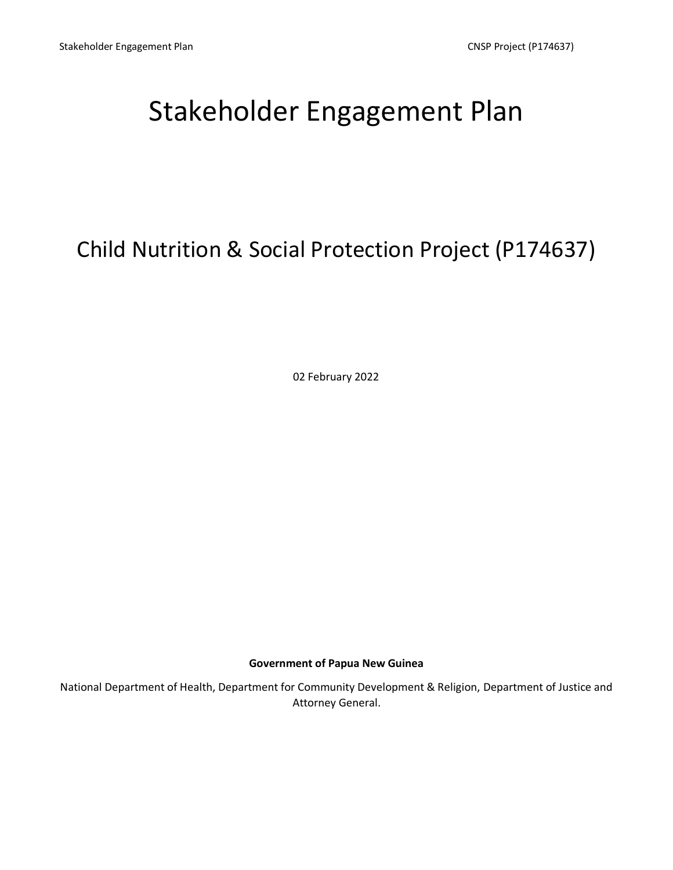# Stakeholder Engagement Plan

# Child Nutrition & Social Protection Project (P174637)

02 February 2022

# **Government of Papua New Guinea**

National Department of Health, Department for Community Development & Religion, Department of Justice and Attorney General.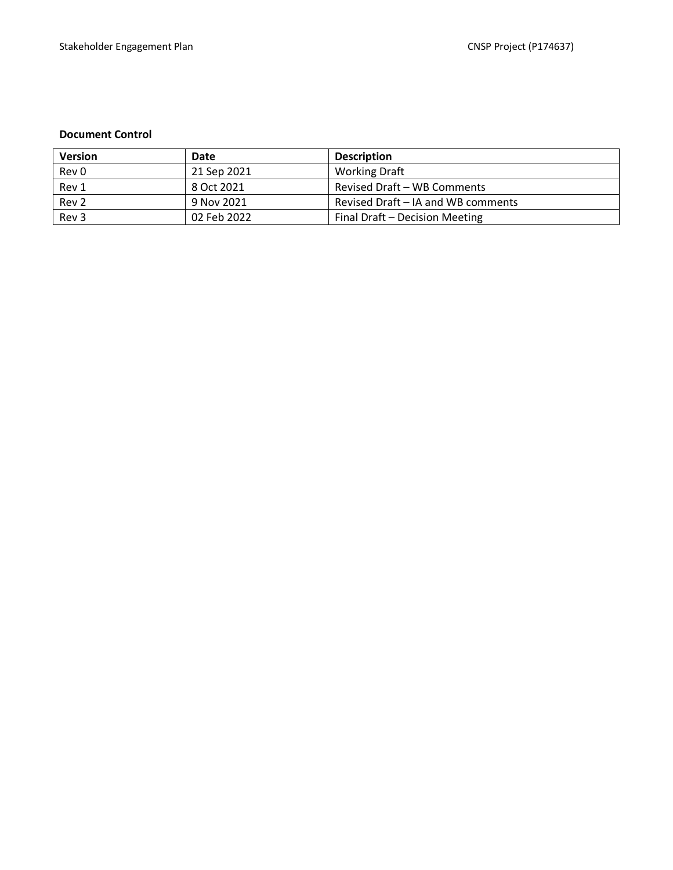#### **Document Control**

| <b>Version</b>   | Date        | <b>Description</b>                 |
|------------------|-------------|------------------------------------|
| Rev 0            | 21 Sep 2021 | <b>Working Draft</b>               |
| Rev 1            | 8 Oct 2021  | Revised Draft - WB Comments        |
| Rev <sub>2</sub> | 9 Nov 2021  | Revised Draft – IA and WB comments |
| Rev 3            | 02 Feb 2022 | Final Draft - Decision Meeting     |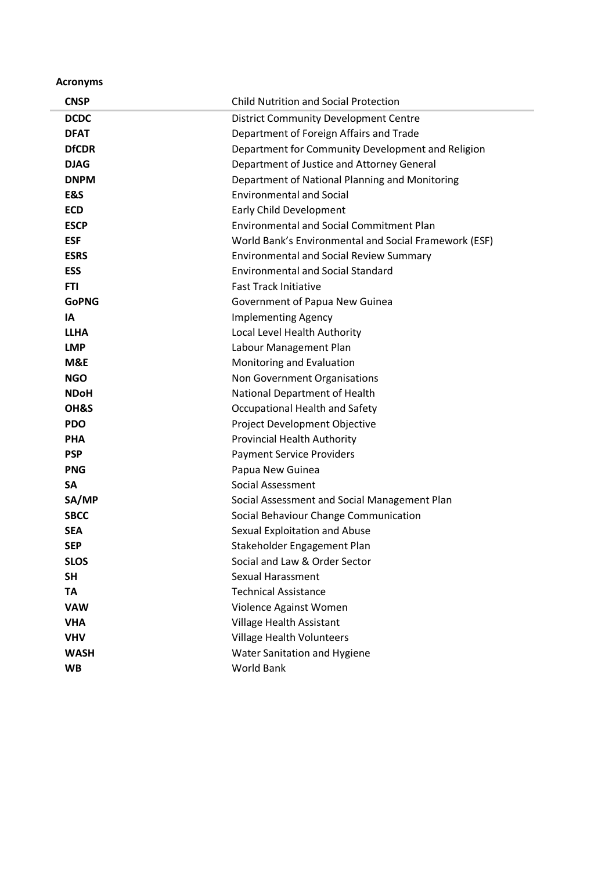**Acronyms**

| <b>CNSP</b>  | <b>Child Nutrition and Social Protection</b>          |
|--------------|-------------------------------------------------------|
| <b>DCDC</b>  | <b>District Community Development Centre</b>          |
| <b>DFAT</b>  | Department of Foreign Affairs and Trade               |
| <b>DfCDR</b> | Department for Community Development and Religion     |
| <b>DJAG</b>  | Department of Justice and Attorney General            |
| <b>DNPM</b>  | Department of National Planning and Monitoring        |
| E&S          | <b>Environmental and Social</b>                       |
| <b>ECD</b>   | <b>Early Child Development</b>                        |
| <b>ESCP</b>  | <b>Environmental and Social Commitment Plan</b>       |
| <b>ESF</b>   | World Bank's Environmental and Social Framework (ESF) |
| <b>ESRS</b>  | <b>Environmental and Social Review Summary</b>        |
| <b>ESS</b>   | <b>Environmental and Social Standard</b>              |
| <b>FTI</b>   | <b>Fast Track Initiative</b>                          |
| <b>GoPNG</b> | Government of Papua New Guinea                        |
| IA           | <b>Implementing Agency</b>                            |
| <b>LLHA</b>  | Local Level Health Authority                          |
| <b>LMP</b>   | Labour Management Plan                                |
| M&E          | Monitoring and Evaluation                             |
| <b>NGO</b>   | Non Government Organisations                          |
| <b>NDoH</b>  | National Department of Health                         |
| OH&S         | Occupational Health and Safety                        |
| <b>PDO</b>   | Project Development Objective                         |
| <b>PHA</b>   | <b>Provincial Health Authority</b>                    |
| <b>PSP</b>   | <b>Payment Service Providers</b>                      |
| <b>PNG</b>   | Papua New Guinea                                      |
| SA           | Social Assessment                                     |
| SA/MP        | Social Assessment and Social Management Plan          |
| <b>SBCC</b>  | Social Behaviour Change Communication                 |
| <b>SEA</b>   | Sexual Exploitation and Abuse                         |
| <b>SEP</b>   | Stakeholder Engagement Plan                           |
| <b>SLOS</b>  | Social and Law & Order Sector                         |
| <b>SH</b>    | <b>Sexual Harassment</b>                              |
| <b>TA</b>    | <b>Technical Assistance</b>                           |
| <b>VAW</b>   | Violence Against Women                                |
| <b>VHA</b>   | Village Health Assistant                              |
| <b>VHV</b>   | Village Health Volunteers                             |
| <b>WASH</b>  | Water Sanitation and Hygiene                          |
| <b>WB</b>    | World Bank                                            |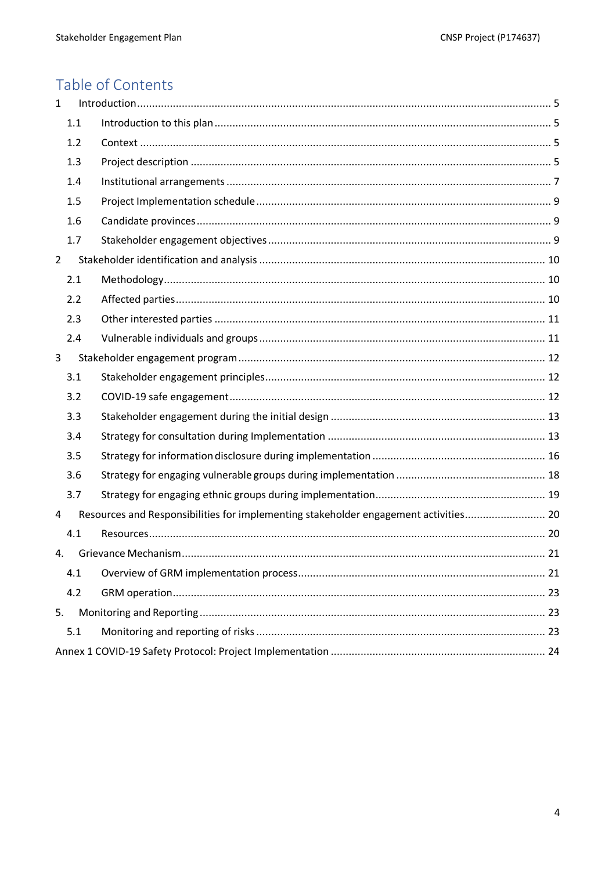# Table of Contents

<span id="page-3-0"></span>

| $\mathbf{1}$   |     |                                                                                      |
|----------------|-----|--------------------------------------------------------------------------------------|
|                | 1.1 |                                                                                      |
|                | 1.2 |                                                                                      |
|                | 1.3 |                                                                                      |
|                | 1.4 |                                                                                      |
|                | 1.5 |                                                                                      |
|                | 1.6 |                                                                                      |
|                | 1.7 |                                                                                      |
| $\overline{2}$ |     |                                                                                      |
|                | 2.1 |                                                                                      |
|                | 2.2 |                                                                                      |
|                | 2.3 |                                                                                      |
|                | 2.4 |                                                                                      |
| 3              |     |                                                                                      |
|                | 3.1 |                                                                                      |
|                | 3.2 |                                                                                      |
|                | 3.3 |                                                                                      |
|                | 3.4 |                                                                                      |
|                | 3.5 |                                                                                      |
|                | 3.6 |                                                                                      |
|                | 3.7 |                                                                                      |
| 4              |     | Resources and Responsibilities for implementing stakeholder engagement activities 20 |
|                | 4.1 |                                                                                      |
| 4.             |     |                                                                                      |
|                | 4.1 |                                                                                      |
|                | 4.2 |                                                                                      |
| 5.             |     |                                                                                      |
|                | 5.1 |                                                                                      |
|                |     |                                                                                      |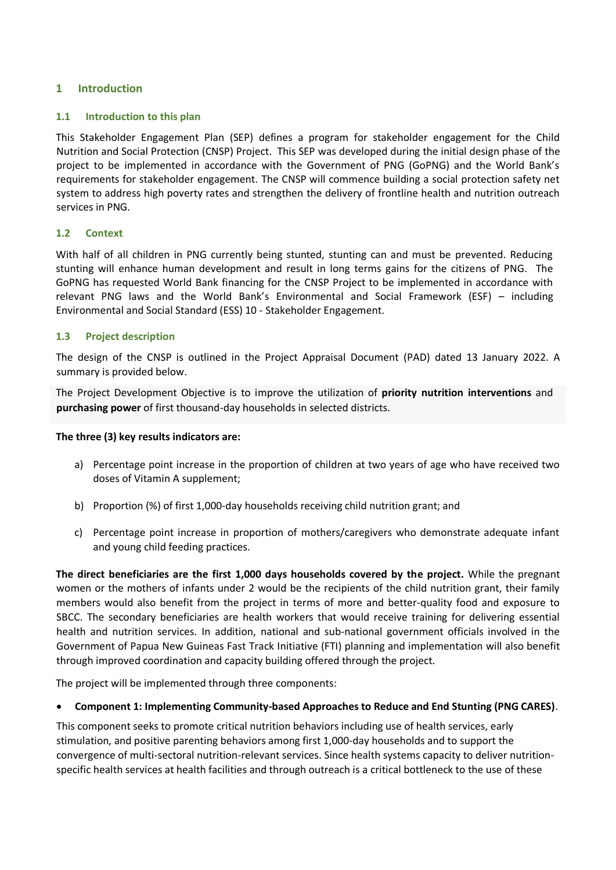## **1 Introduction**

#### <span id="page-4-0"></span>**1.1 Introduction to this plan**

This Stakeholder Engagement Plan (SEP) defines a program for stakeholder engagement for the Child Nutrition and Social Protection (CNSP) Project. This SEP was developed during the initial design phase of the project to be implemented in accordance with the Government of PNG (GoPNG) and the World Bank's requirements for stakeholder engagement. The CNSP will commence building a social protection safety net system to address high poverty rates and strengthen the delivery of frontline health and nutrition outreach services in PNG.

#### <span id="page-4-1"></span>**1.2 Context**

With half of all children in PNG currently being stunted, stunting can and must be prevented. Reducing stunting will enhance human development and result in long terms gains for the citizens of PNG. The GoPNG has requested World Bank financing for the CNSP Project to be implemented in accordance with relevant PNG laws and the World Bank's Environmental and Social Framework (ESF) – including Environmental and Social Standard (ESS) 10 - Stakeholder Engagement.

## <span id="page-4-2"></span>**1.3 Project description**

The design of the CNSP is outlined in the Project Appraisal Document (PAD) dated 13 January 2022. A summary is provided below.

The Project Development Objective is to improve the utilization of **priority nutrition interventions** and **purchasing power** of first thousand-day households in selected districts.

#### **The three (3) key results indicators are:**

- a) Percentage point increase in the proportion of children at two years of age who have received two doses of Vitamin A supplement;
- b) Proportion (%) of first 1,000-day households receiving child nutrition grant; and
- c) Percentage point increase in proportion of mothers/caregivers who demonstrate adequate infant and young child feeding practices.

**The direct beneficiaries are the first 1,000 days households covered by the project.** While the pregnant women or the mothers of infants under 2 would be the recipients of the child nutrition grant, their family members would also benefit from the project in terms of more and better-quality food and exposure to SBCC. The secondary beneficiaries are health workers that would receive training for delivering essential health and nutrition services. In addition, national and sub-national government officials involved in the Government of Papua New Guineas Fast Track Initiative (FTI) planning and implementation will also benefit through improved coordination and capacity building offered through the project.

The project will be implemented through three components:

# • **Component 1: Implementing Community-based Approaches to Reduce and End Stunting (PNG CARES)**.

This component seeks to promote critical nutrition behaviors including use of health services, early stimulation, and positive parenting behaviors among first 1,000-day households and to support the convergence of multi-sectoral nutrition-relevant services. Since health systems capacity to deliver nutritionspecific health services at health facilities and through outreach is a critical bottleneck to the use of these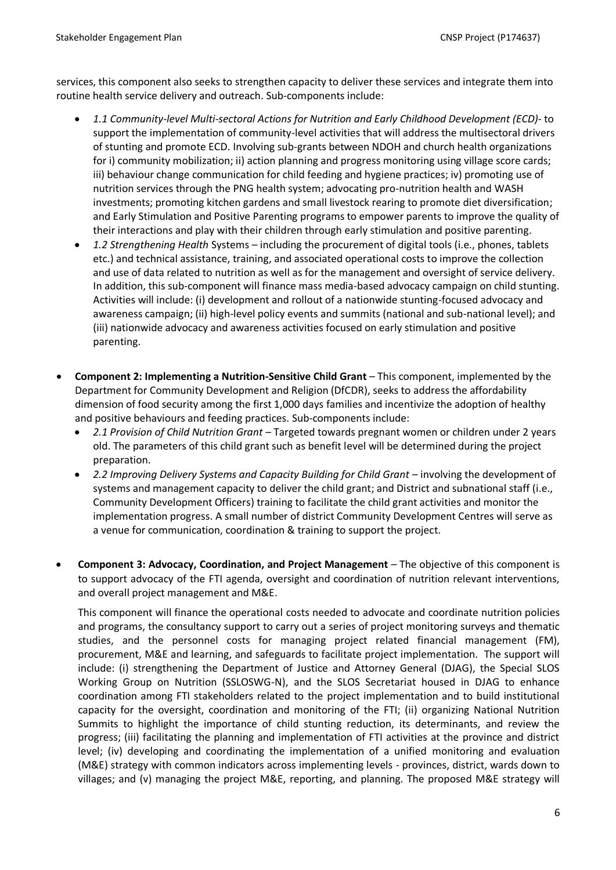services, this component also seeks to strengthen capacity to deliver these services and integrate them into routine health service delivery and outreach. Sub-components include:

- *1.1 Community-level Multi-sectoral Actions for Nutrition and Early Childhood Development (ECD)* to support the implementation of community-level activities that will address the multisectoral drivers of stunting and promote ECD. Involving sub-grants between NDOH and church health organizations for i) community mobilization; ii) action planning and progress monitoring using village score cards; iii) behaviour change communication for child feeding and hygiene practices; iv) promoting use of nutrition services through the PNG health system; advocating pro-nutrition health and WASH investments; promoting kitchen gardens and small livestock rearing to promote diet diversification; and Early Stimulation and Positive Parenting programs to empower parents to improve the quality of their interactions and play with their children through early stimulation and positive parenting.
- *1.2 Strengthening Health* Systems including the procurement of digital tools (i.e., phones, tablets etc.) and technical assistance, training, and associated operational costs to improve the collection and use of data related to nutrition as well as for the management and oversight of service delivery. In addition, this sub-component will finance mass media-based advocacy campaign on child stunting. Activities will include: (i) development and rollout of a nationwide stunting-focused advocacy and awareness campaign; (ii) high-level policy events and summits (national and sub-national level); and (iii) nationwide advocacy and awareness activities focused on early stimulation and positive parenting.
- **Component 2: Implementing a Nutrition-Sensitive Child Grant** This component, implemented by the Department for Community Development and Religion (DfCDR), seeks to address the affordability dimension of food security among the first 1,000 days families and incentivize the adoption of healthy and positive behaviours and feeding practices. Sub-components include:
	- *2.1 Provision of Child Nutrition Grant* Targeted towards pregnant women or children under 2 years old. The parameters of this child grant such as benefit level will be determined during the project preparation.
	- *2.2 Improving Delivery Systems and Capacity Building for Child Grant*  involving the development of systems and management capacity to deliver the child grant; and District and subnational staff (i.e., Community Development Officers) training to facilitate the child grant activities and monitor the implementation progress. A small number of district Community Development Centres will serve as a venue for communication, coordination & training to support the project.
- **Component 3: Advocacy, Coordination, and Project Management**  The objective of this component is to support advocacy of the FTI agenda, oversight and coordination of nutrition relevant interventions, and overall project management and M&E.

This component will finance the operational costs needed to advocate and coordinate nutrition policies and programs, the consultancy support to carry out a series of project monitoring surveys and thematic studies, and the personnel costs for managing project related financial management (FM), procurement, M&E and learning, and safeguards to facilitate project implementation. The support will include: (i) strengthening the Department of Justice and Attorney General (DJAG), the Special SLOS Working Group on Nutrition (SSLOSWG-N), and the SLOS Secretariat housed in DJAG to enhance coordination among FTI stakeholders related to the project implementation and to build institutional capacity for the oversight, coordination and monitoring of the FTI; (ii) organizing National Nutrition Summits to highlight the importance of child stunting reduction, its determinants, and review the progress; (iii) facilitating the planning and implementation of FTI activities at the province and district level; (iv) developing and coordinating the implementation of a unified monitoring and evaluation (M&E) strategy with common indicators across implementing levels - provinces, district, wards down to villages; and (v) managing the project M&E, reporting, and planning. The proposed M&E strategy will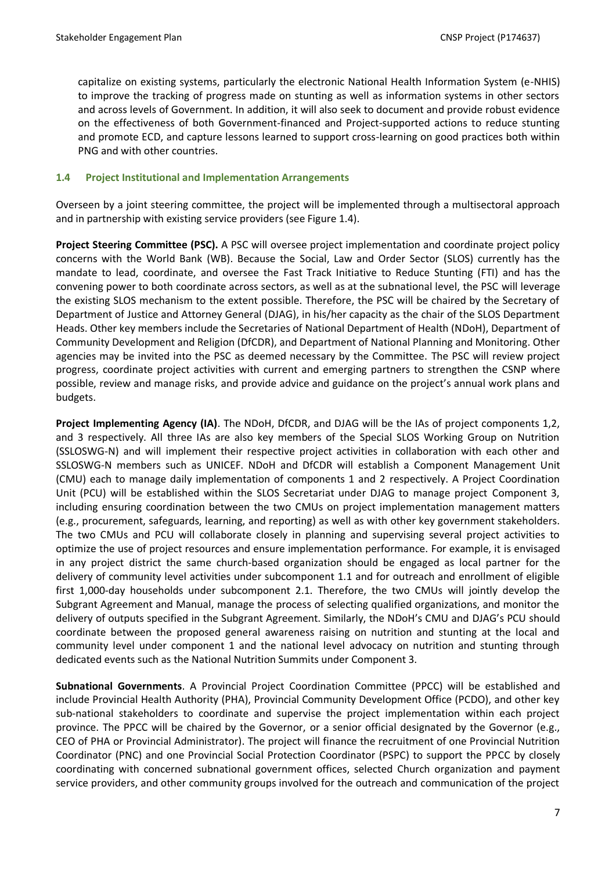capitalize on existing systems, particularly the electronic National Health Information System (e-NHIS) to improve the tracking of progress made on stunting as well as information systems in other sectors and across levels of Government. In addition, it will also seek to document and provide robust evidence on the effectiveness of both Government-financed and Project-supported actions to reduce stunting and promote ECD, and capture lessons learned to support cross-learning on good practices both within PNG and with other countries.

#### <span id="page-6-0"></span>**1.4 Project Institutional and Implementation Arrangements**

Overseen by a joint steering committee, the project will be implemented through a multisectoral approach and in partnership with existing service providers (see Figure 1.4).

**Project Steering Committee (PSC).** A PSC will oversee project implementation and coordinate project policy concerns with the World Bank (WB). Because the Social, Law and Order Sector (SLOS) currently has the mandate to lead, coordinate, and oversee the Fast Track Initiative to Reduce Stunting (FTI) and has the convening power to both coordinate across sectors, as well as at the subnational level, the PSC will leverage the existing SLOS mechanism to the extent possible. Therefore, the PSC will be chaired by the Secretary of Department of Justice and Attorney General (DJAG), in his/her capacity as the chair of the SLOS Department Heads. Other key members include the Secretaries of National Department of Health (NDoH), Department of Community Development and Religion (DfCDR), and Department of National Planning and Monitoring. Other agencies may be invited into the PSC as deemed necessary by the Committee. The PSC will review project progress, coordinate project activities with current and emerging partners to strengthen the CSNP where possible, review and manage risks, and provide advice and guidance on the project's annual work plans and budgets.

**Project Implementing Agency (IA)**. The NDoH, DfCDR, and DJAG will be the IAs of project components 1,2, and 3 respectively. All three IAs are also key members of the Special SLOS Working Group on Nutrition (SSLOSWG-N) and will implement their respective project activities in collaboration with each other and SSLOSWG-N members such as UNICEF. NDoH and DfCDR will establish a Component Management Unit (CMU) each to manage daily implementation of components 1 and 2 respectively. A Project Coordination Unit (PCU) will be established within the SLOS Secretariat under DJAG to manage project Component 3, including ensuring coordination between the two CMUs on project implementation management matters (e.g., procurement, safeguards, learning, and reporting) as well as with other key government stakeholders. The two CMUs and PCU will collaborate closely in planning and supervising several project activities to optimize the use of project resources and ensure implementation performance. For example, it is envisaged in any project district the same church-based organization should be engaged as local partner for the delivery of community level activities under subcomponent 1.1 and for outreach and enrollment of eligible first 1,000-day households under subcomponent 2.1. Therefore, the two CMUs will jointly develop the Subgrant Agreement and Manual, manage the process of selecting qualified organizations, and monitor the delivery of outputs specified in the Subgrant Agreement. Similarly, the NDoH's CMU and DJAG's PCU should coordinate between the proposed general awareness raising on nutrition and stunting at the local and community level under component 1 and the national level advocacy on nutrition and stunting through dedicated events such as the National Nutrition Summits under Component 3.

**Subnational Governments**. A Provincial Project Coordination Committee (PPCC) will be established and include Provincial Health Authority (PHA), Provincial Community Development Office (PCDO), and other key sub-national stakeholders to coordinate and supervise the project implementation within each project province. The PPCC will be chaired by the Governor, or a senior official designated by the Governor (e.g., CEO of PHA or Provincial Administrator). The project will finance the recruitment of one Provincial Nutrition Coordinator (PNC) and one Provincial Social Protection Coordinator (PSPC) to support the PPCC by closely coordinating with concerned subnational government offices, selected Church organization and payment service providers, and other community groups involved for the outreach and communication of the project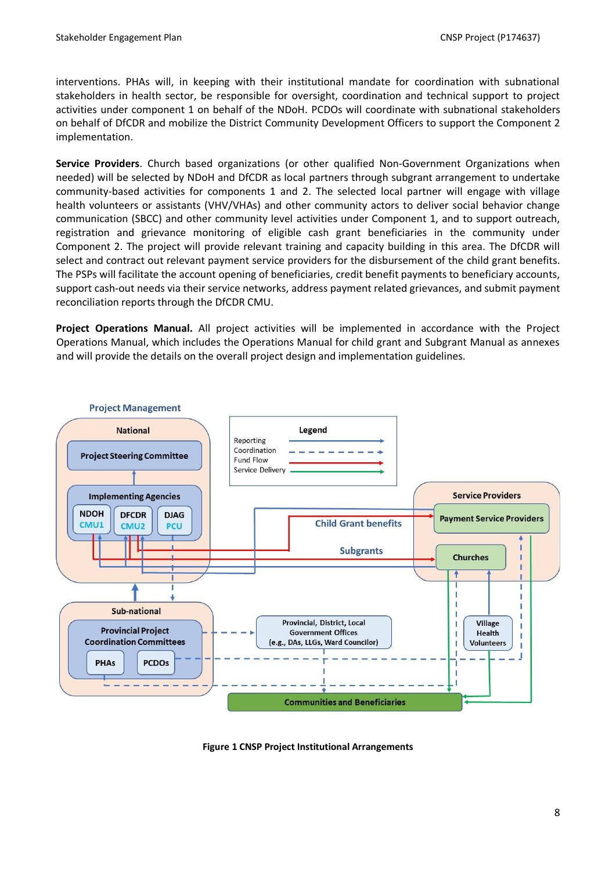interventions. PHAs will, in keeping with their institutional mandate for coordination with subnational stakeholders in health sector, be responsible for oversight, coordination and technical support to project activities under component 1 on behalf of the NDoH. PCDOs will coordinate with subnational stakeholders on behalf of DfCDR and mobilize the District Community Development Officers to support the Component 2 implementation.

**Service Providers**. Church based organizations (or other qualified Non-Government Organizations when needed) will be selected by NDoH and DfCDR as local partners through subgrant arrangement to undertake community-based activities for components 1 and 2. The selected local partner will engage with village health volunteers or assistants (VHV/VHAs) and other community actors to deliver social behavior change communication (SBCC) and other community level activities under Component 1, and to support outreach, registration and grievance monitoring of eligible cash grant beneficiaries in the community under Component 2. The project will provide relevant training and capacity building in this area. The DfCDR will select and contract out relevant payment service providers for the disbursement of the child grant benefits. The PSPs will facilitate the account opening of beneficiaries, credit benefit payments to beneficiary accounts, support cash-out needs via their service networks, address payment related grievances, and submit payment reconciliation reports through the DfCDR CMU.

**Project Operations Manual.** All project activities will be implemented in accordance with the Project Operations Manual, which includes the Operations Manual for child grant and Subgrant Manual as annexes and will provide the details on the overall project design and implementation guidelines.



**Figure 1 CNSP Project Institutional Arrangements**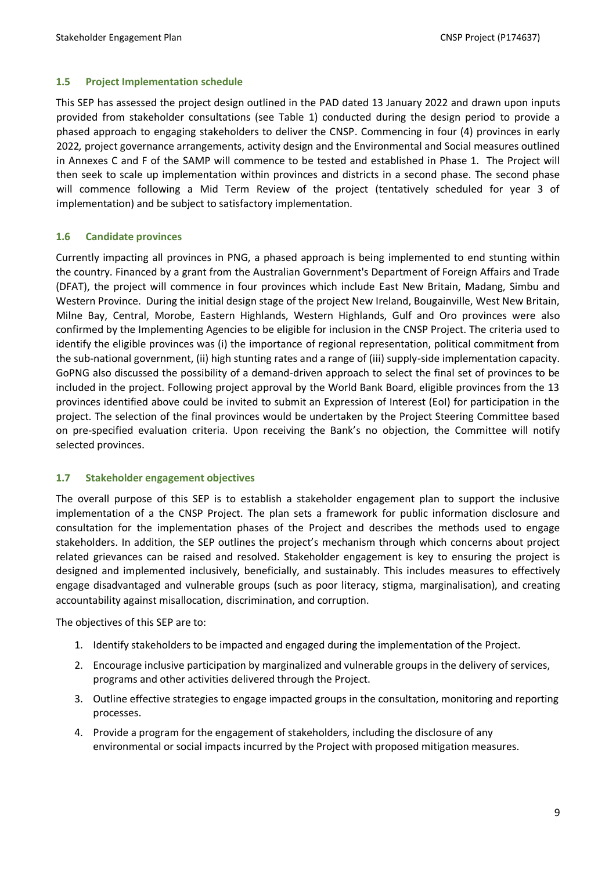#### <span id="page-8-0"></span>**1.5 Project Implementation schedule**

This SEP has assessed the project design outlined in the PAD dated 13 January 2022 and drawn upon inputs provided from stakeholder consultations (see Table 1) conducted during the design period to provide a phased approach to engaging stakeholders to deliver the CNSP. Commencing in four (4) provinces in early 2022*,* project governance arrangements, activity design and the Environmental and Social measures outlined in Annexes C and F of the SAMP will commence to be tested and established in Phase 1. The Project will then seek to scale up implementation within provinces and districts in a second phase. The second phase will commence following a Mid Term Review of the project (tentatively scheduled for year 3 of implementation) and be subject to satisfactory implementation.

#### <span id="page-8-1"></span>**1.6 Candidate provinces**

Currently impacting all provinces in PNG, a phased approach is being implemented to end stunting within the country. Financed by a grant from the Australian Government's Department of Foreign Affairs and Trade (DFAT), the project will commence in four provinces which include East New Britain, Madang, Simbu and Western Province. During the initial design stage of the project New Ireland, Bougainville, West New Britain, Milne Bay, Central, Morobe, Eastern Highlands, Western Highlands, Gulf and Oro provinces were also confirmed by the Implementing Agencies to be eligible for inclusion in the CNSP Project. The criteria used to identify the eligible provinces was (i) the importance of regional representation, political commitment from the sub-national government, (ii) high stunting rates and a range of (iii) supply-side implementation capacity. GoPNG also discussed the possibility of a demand-driven approach to select the final set of provinces to be included in the project. Following project approval by the World Bank Board, eligible provinces from the 13 provinces identified above could be invited to submit an Expression of Interest (EoI) for participation in the project. The selection of the final provinces would be undertaken by the Project Steering Committee based on pre-specified evaluation criteria. Upon receiving the Bank's no objection, the Committee will notify selected provinces.

#### <span id="page-8-2"></span>**1.7 Stakeholder engagement objectives**

The overall purpose of this SEP is to establish a stakeholder engagement plan to support the inclusive implementation of a the CNSP Project. The plan sets a framework for public information disclosure and consultation for the implementation phases of the Project and describes the methods used to engage stakeholders. In addition, the SEP outlines the project's mechanism through which concerns about project related grievances can be raised and resolved. Stakeholder engagement is key to ensuring the project is designed and implemented inclusively, beneficially, and sustainably. This includes measures to effectively engage disadvantaged and vulnerable groups (such as poor literacy, stigma, marginalisation), and creating accountability against misallocation, discrimination, and corruption.

The objectives of this SEP are to:

- 1. Identify stakeholders to be impacted and engaged during the implementation of the Project.
- 2. Encourage inclusive participation by marginalized and vulnerable groups in the delivery of services, programs and other activities delivered through the Project.
- 3. Outline effective strategies to engage impacted groups in the consultation, monitoring and reporting processes.
- 4. Provide a program for the engagement of stakeholders, including the disclosure of any environmental or social impacts incurred by the Project with proposed mitigation measures.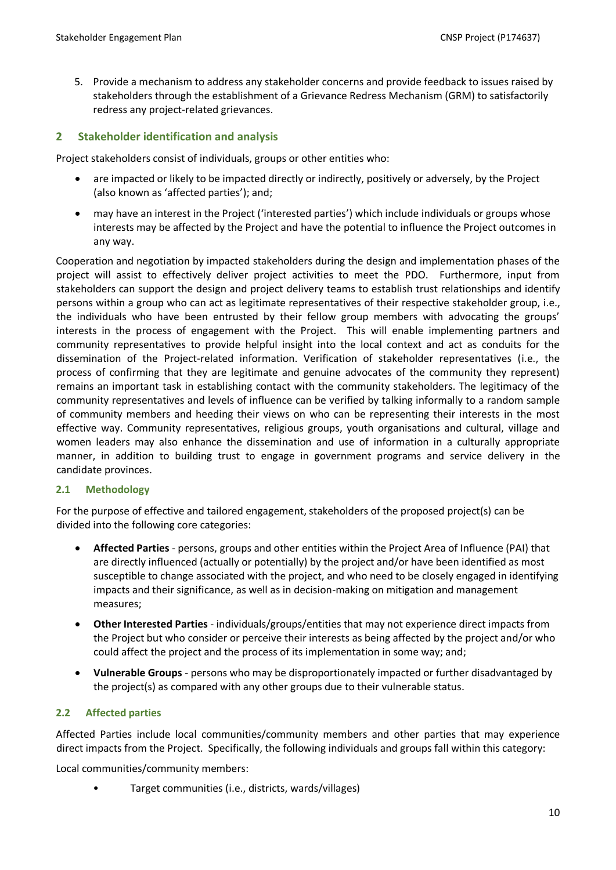5. Provide a mechanism to address any stakeholder concerns and provide feedback to issues raised by stakeholders through the establishment of a Grievance Redress Mechanism (GRM) to satisfactorily redress any project-related grievances.

# <span id="page-9-0"></span>**2 Stakeholder identification and analysis**

Project stakeholders consist of individuals, groups or other entities who:

- are impacted or likely to be impacted directly or indirectly, positively or adversely, by the Project (also known as 'affected parties'); and;
- may have an interest in the Project ('interested parties') which include individuals or groups whose interests may be affected by the Project and have the potential to influence the Project outcomes in any way.

Cooperation and negotiation by impacted stakeholders during the design and implementation phases of the project will assist to effectively deliver project activities to meet the PDO. Furthermore, input from stakeholders can support the design and project delivery teams to establish trust relationships and identify persons within a group who can act as legitimate representatives of their respective stakeholder group, i.e., the individuals who have been entrusted by their fellow group members with advocating the groups' interests in the process of engagement with the Project. This will enable implementing partners and community representatives to provide helpful insight into the local context and act as conduits for the dissemination of the Project-related information. Verification of stakeholder representatives (i.e., the process of confirming that they are legitimate and genuine advocates of the community they represent) remains an important task in establishing contact with the community stakeholders. The legitimacy of the community representatives and levels of influence can be verified by talking informally to a random sample of community members and heeding their views on who can be representing their interests in the most effective way. Community representatives, religious groups, youth organisations and cultural, village and women leaders may also enhance the dissemination and use of information in a culturally appropriate manner, in addition to building trust to engage in government programs and service delivery in the candidate provinces.

#### <span id="page-9-1"></span>**2.1 Methodology**

For the purpose of effective and tailored engagement, stakeholders of the proposed project(s) can be divided into the following core categories:

- **Affected Parties** persons, groups and other entities within the Project Area of Influence (PAI) that are directly influenced (actually or potentially) by the project and/or have been identified as most susceptible to change associated with the project, and who need to be closely engaged in identifying impacts and their significance, as well as in decision-making on mitigation and management measures;
- **Other Interested Parties** individuals/groups/entities that may not experience direct impacts from the Project but who consider or perceive their interests as being affected by the project and/or who could affect the project and the process of its implementation in some way; and;
- **Vulnerable Groups** persons who may be disproportionately impacted or further disadvantaged by the project(s) as compared with any other groups due to their vulnerable status.

# <span id="page-9-2"></span>**2.2 Affected parties**

Affected Parties include local communities/community members and other parties that may experience direct impacts from the Project. Specifically, the following individuals and groups fall within this category:

Local communities/community members:

• Target communities (i.e., districts, wards/villages)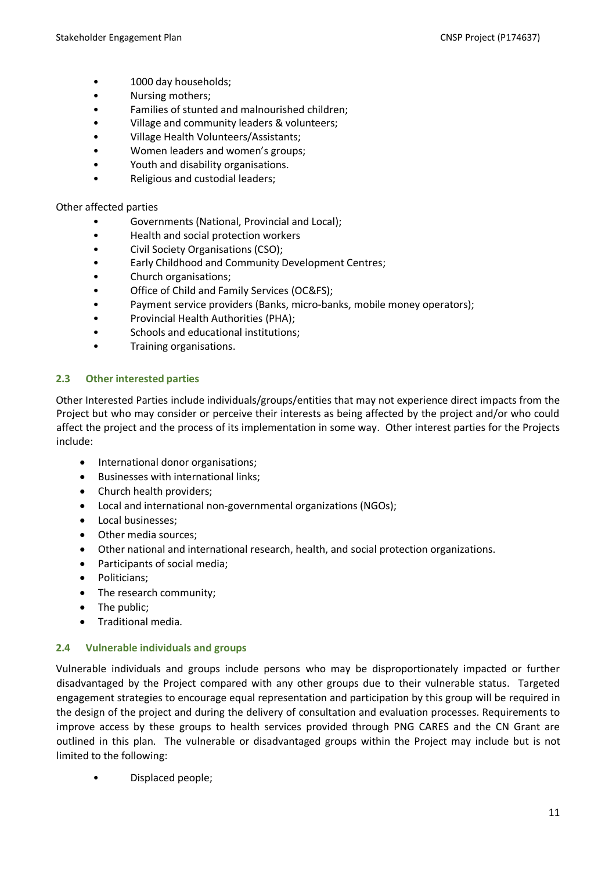- 1000 day households;
- Nursing mothers;
- Families of stunted and malnourished children;
- Village and community leaders & volunteers;
- Village Health Volunteers/Assistants;
- Women leaders and women's groups;
- Youth and disability organisations.
- Religious and custodial leaders;

#### Other affected parties

- Governments (National, Provincial and Local);
- Health and social protection workers
- Civil Society Organisations (CSO);
- Early Childhood and Community Development Centres;
- Church organisations;
- Office of Child and Family Services (OC&FS);
- Payment service providers (Banks, micro-banks, mobile money operators);
- Provincial Health Authorities (PHA);
- Schools and educational institutions;
- Training organisations.

## <span id="page-10-0"></span>**2.3 Other interested parties**

Other Interested Parties include individuals/groups/entities that may not experience direct impacts from the Project but who may consider or perceive their interests as being affected by the project and/or who could affect the project and the process of its implementation in some way. Other interest parties for the Projects include:

- International donor organisations;
- Businesses with international links;
- Church health providers;
- Local and international non-governmental organizations (NGOs);
- Local businesses;
- Other media sources;
- Other national and international research, health, and social protection organizations.
- Participants of social media;
- Politicians;
- The research community;
- The public:
- Traditional media.

#### <span id="page-10-1"></span>**2.4 Vulnerable individuals and groups**

Vulnerable individuals and groups include persons who may be disproportionately impacted or further disadvantaged by the Project compared with any other groups due to their vulnerable status. Targeted engagement strategies to encourage equal representation and participation by this group will be required in the design of the project and during the delivery of consultation and evaluation processes. Requirements to improve access by these groups to health services provided through PNG CARES and the CN Grant are outlined in this plan. The vulnerable or disadvantaged groups within the Project may include but is not limited to the following:

• Displaced people;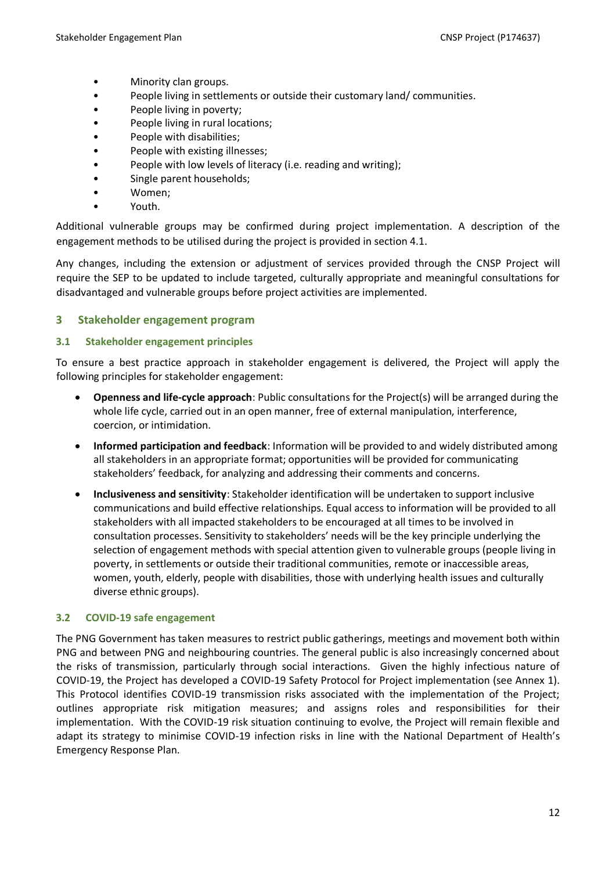- Minority clan groups.
- People living in settlements or outside their customary land/ communities.
- People living in poverty;
- People living in rural locations;
- People with disabilities;
- People with existing illnesses;
- People with low levels of literacy (i.e. reading and writing);
- Single parent households;
- Women;
- Youth.

Additional vulnerable groups may be confirmed during project implementation. A description of the engagement methods to be utilised during the project is provided in section 4.1.

Any changes, including the extension or adjustment of services provided through the CNSP Project will require the SEP to be updated to include targeted, culturally appropriate and meaningful consultations for disadvantaged and vulnerable groups before project activities are implemented.

# <span id="page-11-0"></span>**3 Stakeholder engagement program**

#### <span id="page-11-1"></span>**3.1 Stakeholder engagement principles**

To ensure a best practice approach in stakeholder engagement is delivered, the Project will apply the following principles for stakeholder engagement:

- **Openness and life-cycle approach**: Public consultations for the Project(s) will be arranged during the whole life cycle, carried out in an open manner, free of external manipulation, interference, coercion, or intimidation.
- **Informed participation and feedback**: Information will be provided to and widely distributed among all stakeholders in an appropriate format; opportunities will be provided for communicating stakeholders' feedback, for analyzing and addressing their comments and concerns.
- **Inclusiveness and sensitivity**: Stakeholder identification will be undertaken to support inclusive communications and build effective relationships. Equal access to information will be provided to all stakeholders with all impacted stakeholders to be encouraged at all times to be involved in consultation processes. Sensitivity to stakeholders' needs will be the key principle underlying the selection of engagement methods with special attention given to vulnerable groups (people living in poverty, in settlements or outside their traditional communities, remote or inaccessible areas, women, youth, elderly, people with disabilities, those with underlying health issues and culturally diverse ethnic groups).

#### <span id="page-11-2"></span>**3.2 COVID-19 safe engagement**

The PNG Government has taken measures to restrict public gatherings, meetings and movement both within PNG and between PNG and neighbouring countries. The general public is also increasingly concerned about the risks of transmission, particularly through social interactions. Given the highly infectious nature of COVID-19, the Project has developed a COVID-19 Safety Protocol for Project implementation (see Annex 1). This Protocol identifies COVID-19 transmission risks associated with the implementation of the Project; outlines appropriate risk mitigation measures; and assigns roles and responsibilities for their implementation. With the COVID-19 risk situation continuing to evolve, the Project will remain flexible and adapt its strategy to minimise COVID-19 infection risks in line with the National Department of Health's Emergency Response Plan.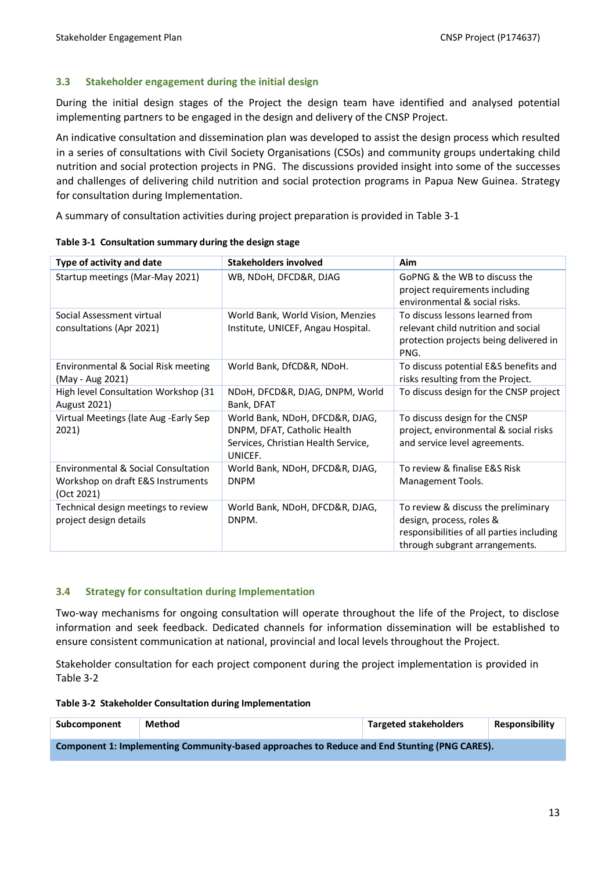#### <span id="page-12-0"></span>**3.3 Stakeholder engagement during the initial design**

During the initial design stages of the Project the design team have identified and analysed potential implementing partners to be engaged in the design and delivery of the CNSP Project.

An indicative consultation and dissemination plan was developed to assist the design process which resulted in a series of consultations with Civil Society Organisations (CSOs) and community groups undertaking child nutrition and social protection projects in PNG. The discussions provided insight into some of the successes and challenges of delivering child nutrition and social protection programs in Papua New Guinea. Strategy for consultation during Implementation.

A summary of consultation activities during project preparation is provided in [Table 3-1](#page-12-2)

| Type of activity and date                                                              | <b>Stakeholders involved</b>                                                                                     | Aim                                                                                                                                            |
|----------------------------------------------------------------------------------------|------------------------------------------------------------------------------------------------------------------|------------------------------------------------------------------------------------------------------------------------------------------------|
| Startup meetings (Mar-May 2021)                                                        | WB, NDoH, DFCD&R, DJAG                                                                                           | GoPNG & the WB to discuss the<br>project requirements including<br>environmental & social risks.                                               |
| Social Assessment virtual<br>consultations (Apr 2021)                                  | World Bank, World Vision, Menzies<br>Institute, UNICEF, Angau Hospital.                                          | To discuss lessons learned from<br>relevant child nutrition and social<br>protection projects being delivered in<br>PNG.                       |
| Environmental & Social Risk meeting<br>(May - Aug 2021)                                | World Bank, DfCD&R, NDoH.                                                                                        | To discuss potential E&S benefits and<br>risks resulting from the Project.                                                                     |
| High level Consultation Workshop (31<br><b>August 2021)</b>                            | NDoH, DFCD&R, DJAG, DNPM, World<br>Bank, DFAT                                                                    | To discuss design for the CNSP project                                                                                                         |
| Virtual Meetings (late Aug - Early Sep<br>2021)                                        | World Bank, NDoH, DFCD&R, DJAG,<br>DNPM, DFAT, Catholic Health<br>Services, Christian Health Service,<br>UNICEF. | To discuss design for the CNSP<br>project, environmental & social risks<br>and service level agreements.                                       |
| Environmental & Social Consultation<br>Workshop on draft E&S Instruments<br>(Oct 2021) | World Bank, NDoH, DFCD&R, DJAG,<br><b>DNPM</b>                                                                   | To review & finalise E&S Risk<br>Management Tools.                                                                                             |
| Technical design meetings to review<br>project design details                          | World Bank, NDoH, DFCD&R, DJAG,<br>DNPM.                                                                         | To review & discuss the preliminary<br>design, process, roles &<br>responsibilities of all parties including<br>through subgrant arrangements. |

<span id="page-12-2"></span>**Table 3-1 Consultation summary during the design stage**

#### <span id="page-12-1"></span>**3.4 Strategy for consultation during Implementation**

Two-way mechanisms for ongoing consultation will operate throughout the life of the Project, to disclose information and seek feedback. Dedicated channels for information dissemination will be established to ensure consistent communication at national, provincial and local levels throughout the Project.

Stakeholder consultation for each project component during the project implementation is provided in [Table 3-2](#page-12-3)

#### <span id="page-12-3"></span>**Table 3-2 Stakeholder Consultation during Implementation**

| Subcomponent                                                                                 | Method | <b>Targeted stakeholders</b> | <b>Responsibility</b> |
|----------------------------------------------------------------------------------------------|--------|------------------------------|-----------------------|
| Component 1: Implementing Community-based approaches to Reduce and End Stunting (PNG CARES). |        |                              |                       |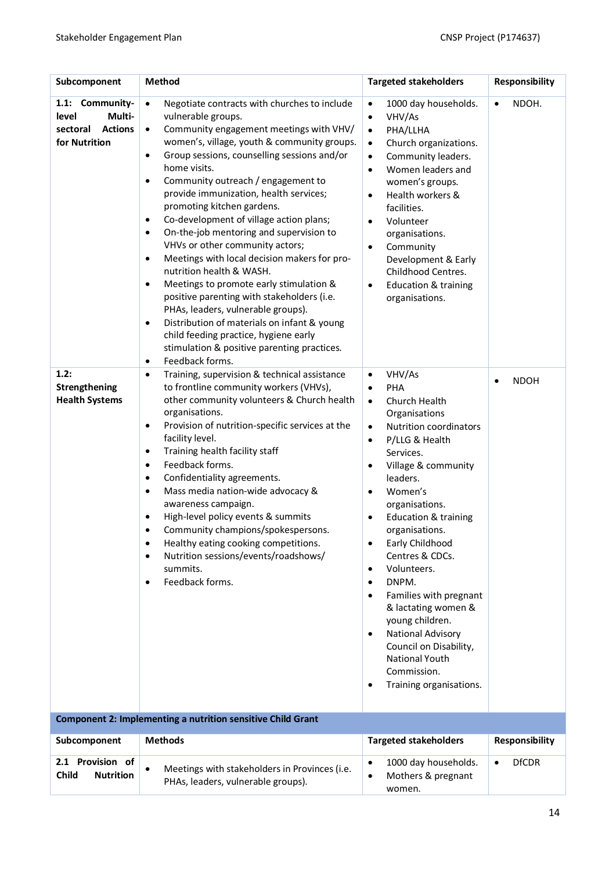| Subcomponent                                                                      | <b>Method</b>                                                                                                                                                                                                                                                                                                                                                                                                                                                                                                                                                                                                                                                                                                                                                                                                                                                                                                                                        | <b>Targeted stakeholders</b>                                                                                                                                                                                                                                                                                                                                                                                                                                                                                                                                                                                                    | <b>Responsibility</b>     |
|-----------------------------------------------------------------------------------|------------------------------------------------------------------------------------------------------------------------------------------------------------------------------------------------------------------------------------------------------------------------------------------------------------------------------------------------------------------------------------------------------------------------------------------------------------------------------------------------------------------------------------------------------------------------------------------------------------------------------------------------------------------------------------------------------------------------------------------------------------------------------------------------------------------------------------------------------------------------------------------------------------------------------------------------------|---------------------------------------------------------------------------------------------------------------------------------------------------------------------------------------------------------------------------------------------------------------------------------------------------------------------------------------------------------------------------------------------------------------------------------------------------------------------------------------------------------------------------------------------------------------------------------------------------------------------------------|---------------------------|
| 1.1: Community-<br>level<br>Multi-<br><b>Actions</b><br>sectoral<br>for Nutrition | $\bullet$<br>Negotiate contracts with churches to include<br>vulnerable groups.<br>Community engagement meetings with VHV/<br>$\bullet$<br>women's, village, youth & community groups.<br>Group sessions, counselling sessions and/or<br>$\bullet$<br>home visits.<br>Community outreach / engagement to<br>$\bullet$<br>provide immunization, health services;<br>promoting kitchen gardens.<br>Co-development of village action plans;<br>$\bullet$<br>On-the-job mentoring and supervision to<br>$\bullet$<br>VHVs or other community actors;<br>Meetings with local decision makers for pro-<br>$\bullet$<br>nutrition health & WASH.<br>Meetings to promote early stimulation &<br>٠<br>positive parenting with stakeholders (i.e.<br>PHAs, leaders, vulnerable groups).<br>Distribution of materials on infant & young<br>$\bullet$<br>child feeding practice, hygiene early<br>stimulation & positive parenting practices.<br>Feedback forms. | 1000 day households.<br>$\bullet$<br>VHV/As<br>$\bullet$<br>PHA/LLHA<br>$\bullet$<br>Church organizations.<br>$\bullet$<br>Community leaders.<br>$\bullet$<br>Women leaders and<br>$\bullet$<br>women's groups.<br>Health workers &<br>$\bullet$<br>facilities.<br>Volunteer<br>$\bullet$<br>organisations.<br>Community<br>$\bullet$<br>Development & Early<br>Childhood Centres.<br><b>Education &amp; training</b><br>$\bullet$<br>organisations.                                                                                                                                                                            | NDOH.<br>٠                |
| 1.2:<br>Strengthening<br><b>Health Systems</b>                                    | $\bullet$<br>Training, supervision & technical assistance<br>$\bullet$<br>to frontline community workers (VHVs),<br>other community volunteers & Church health<br>organisations.<br>Provision of nutrition-specific services at the<br>$\bullet$<br>facility level.<br>Training health facility staff<br>٠<br>Feedback forms.<br>$\bullet$<br>Confidentiality agreements.<br>$\bullet$<br>Mass media nation-wide advocacy &<br>$\bullet$<br>awareness campaign.<br>High-level policy events & summits<br>$\bullet$<br>Community champions/spokespersons.<br>$\bullet$<br>Healthy eating cooking competitions.<br>$\bullet$<br>Nutrition sessions/events/roadshows/<br>$\bullet$<br>summits.<br>Feedback forms.<br>٠                                                                                                                                                                                                                                  | VHV/As<br>$\bullet$<br>PHA<br>$\bullet$<br>Church Health<br>$\bullet$<br>Organisations<br>Nutrition coordinators<br>$\bullet$<br>P/LLG & Health<br>٠<br>Services.<br>Village & community<br>٠<br>leaders.<br>Women's<br>$\bullet$<br>organisations.<br><b>Education &amp; training</b><br>$\bullet$<br>organisations.<br>Early Childhood<br>$\bullet$<br>Centres & CDCs.<br>Volunteers.<br>٠<br>DNPM.<br>٠<br>Families with pregnant<br>٠<br>& lactating women &<br>young children.<br>National Advisory<br>$\bullet$<br>Council on Disability,<br><b>National Youth</b><br>Commission.<br>Training organisations.<br>$\bullet$ | <b>NDOH</b>               |
|                                                                                   | <b>Component 2: Implementing a nutrition sensitive Child Grant</b>                                                                                                                                                                                                                                                                                                                                                                                                                                                                                                                                                                                                                                                                                                                                                                                                                                                                                   |                                                                                                                                                                                                                                                                                                                                                                                                                                                                                                                                                                                                                                 |                           |
| Subcomponent                                                                      | <b>Methods</b>                                                                                                                                                                                                                                                                                                                                                                                                                                                                                                                                                                                                                                                                                                                                                                                                                                                                                                                                       | <b>Targeted stakeholders</b>                                                                                                                                                                                                                                                                                                                                                                                                                                                                                                                                                                                                    | Responsibility            |
| 2.1 Provision of<br><b>Child</b><br><b>Nutrition</b>                              | Meetings with stakeholders in Provinces (i.e.<br>$\bullet$<br>PHAs, leaders, vulnerable groups).                                                                                                                                                                                                                                                                                                                                                                                                                                                                                                                                                                                                                                                                                                                                                                                                                                                     | 1000 day households.<br>$\bullet$<br>Mothers & pregnant<br>$\bullet$<br>women.                                                                                                                                                                                                                                                                                                                                                                                                                                                                                                                                                  | <b>DfCDR</b><br>$\bullet$ |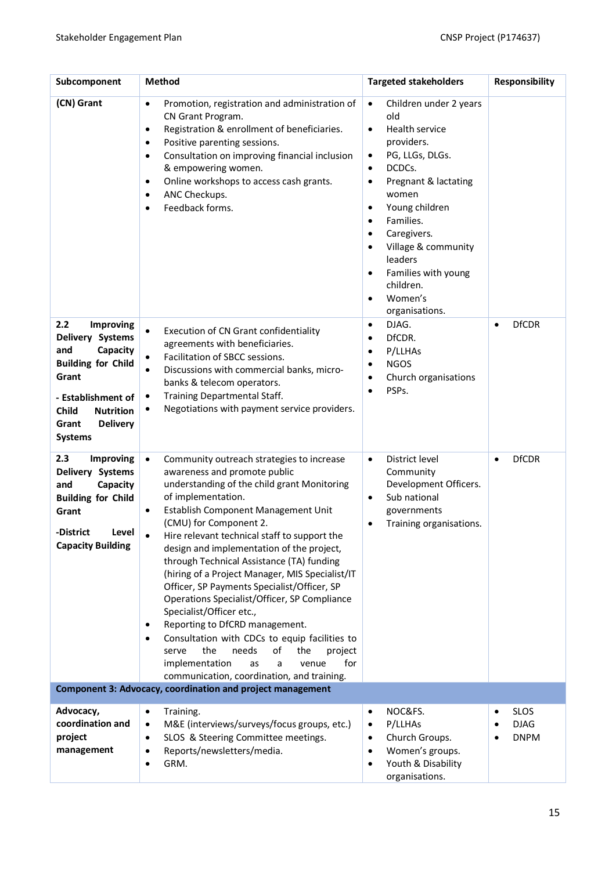| Subcomponent                                                                                                                                                                                                 | <b>Method</b>                                                                                                                                                                                                                                                                                                                                                                                                                                                                                                                                                                                                                                                                                                                                                                                              | <b>Targeted stakeholders</b>                                                                                                                                                                                                                                                                                                                                                                                        | Responsibility                                 |
|--------------------------------------------------------------------------------------------------------------------------------------------------------------------------------------------------------------|------------------------------------------------------------------------------------------------------------------------------------------------------------------------------------------------------------------------------------------------------------------------------------------------------------------------------------------------------------------------------------------------------------------------------------------------------------------------------------------------------------------------------------------------------------------------------------------------------------------------------------------------------------------------------------------------------------------------------------------------------------------------------------------------------------|---------------------------------------------------------------------------------------------------------------------------------------------------------------------------------------------------------------------------------------------------------------------------------------------------------------------------------------------------------------------------------------------------------------------|------------------------------------------------|
| (CN) Grant                                                                                                                                                                                                   | Promotion, registration and administration of<br>$\bullet$<br>CN Grant Program.<br>Registration & enrollment of beneficiaries.<br>$\bullet$<br>Positive parenting sessions.<br>$\bullet$<br>Consultation on improving financial inclusion<br>$\bullet$<br>& empowering women.<br>Online workshops to access cash grants.<br>$\bullet$<br>ANC Checkups.<br>$\bullet$<br>Feedback forms.<br>$\bullet$                                                                                                                                                                                                                                                                                                                                                                                                        | $\bullet$<br>Children under 2 years<br>old<br>Health service<br>$\bullet$<br>providers.<br>PG, LLGs, DLGs.<br>$\bullet$<br>DCDCs.<br>$\bullet$<br>Pregnant & lactating<br>$\bullet$<br>women<br>Young children<br>$\bullet$<br>Families.<br>$\bullet$<br>Caregivers.<br>٠<br>Village & community<br>$\bullet$<br>leaders<br>Families with young<br>$\bullet$<br>children.<br>Women's<br>$\bullet$<br>organisations. |                                                |
| 2.2<br><b>Improving</b><br>Delivery Systems<br>Capacity<br>and<br><b>Building for Child</b><br>Grant<br>- Establishment of<br><b>Child</b><br><b>Nutrition</b><br><b>Delivery</b><br>Grant<br><b>Systems</b> | Execution of CN Grant confidentiality<br>$\bullet$<br>agreements with beneficiaries.<br>Facilitation of SBCC sessions.<br>$\bullet$<br>Discussions with commercial banks, micro-<br>$\bullet$<br>banks & telecom operators.<br>Training Departmental Staff.<br>$\bullet$<br>Negotiations with payment service providers.<br>$\bullet$                                                                                                                                                                                                                                                                                                                                                                                                                                                                      | DJAG.<br>$\bullet$<br>DfCDR.<br>٠<br>P/LLHAs<br>٠<br><b>NGOS</b><br>٠<br>Church organisations<br>$\bullet$<br>PSPs.<br>$\bullet$                                                                                                                                                                                                                                                                                    | <b>DfCDR</b>                                   |
| 2.3<br><b>Improving</b><br>Delivery Systems<br>and<br>Capacity<br><b>Building for Child</b><br>Grant<br>-District<br>Level<br><b>Capacity Building</b>                                                       | $\bullet$<br>Community outreach strategies to increase<br>awareness and promote public<br>understanding of the child grant Monitoring<br>of implementation.<br>Establish Component Management Unit<br>٠<br>(CMU) for Component 2.<br>Hire relevant technical staff to support the<br>design and implementation of the project,<br>through Technical Assistance (TA) funding<br>(hiring of a Project Manager, MIS Specialist/IT<br>Officer, SP Payments Specialist/Officer, SP<br>Operations Specialist/Officer, SP Compliance<br>Specialist/Officer etc.,<br>Reporting to DfCRD management.<br>$\bullet$<br>Consultation with CDCs to equip facilities to<br>٠<br>the<br>needs<br>serve<br>of<br>the<br>project<br>for<br>implementation<br>a<br>as<br>venue<br>communication, coordination, and training. | District level<br>$\bullet$<br>Community<br>Development Officers.<br>Sub national<br>$\bullet$<br>governments<br>Training organisations.<br>٠                                                                                                                                                                                                                                                                       | <b>DfCDR</b><br>$\bullet$                      |
|                                                                                                                                                                                                              | Component 3: Advocacy, coordination and project management                                                                                                                                                                                                                                                                                                                                                                                                                                                                                                                                                                                                                                                                                                                                                 |                                                                                                                                                                                                                                                                                                                                                                                                                     |                                                |
| Advocacy,<br>coordination and<br>project<br>management                                                                                                                                                       | $\bullet$<br>Training.<br>M&E (interviews/surveys/focus groups, etc.)<br>$\bullet$<br>SLOS & Steering Committee meetings.<br>$\bullet$<br>Reports/newsletters/media.<br>$\bullet$<br>GRM.<br>$\bullet$                                                                                                                                                                                                                                                                                                                                                                                                                                                                                                                                                                                                     | NOC&FS.<br>$\bullet$<br>P/LLHAs<br>$\bullet$<br>Church Groups.<br>$\bullet$<br>Women's groups.<br>$\bullet$<br>Youth & Disability<br>$\bullet$<br>organisations.                                                                                                                                                                                                                                                    | <b>SLOS</b><br>٠<br><b>DJAG</b><br><b>DNPM</b> |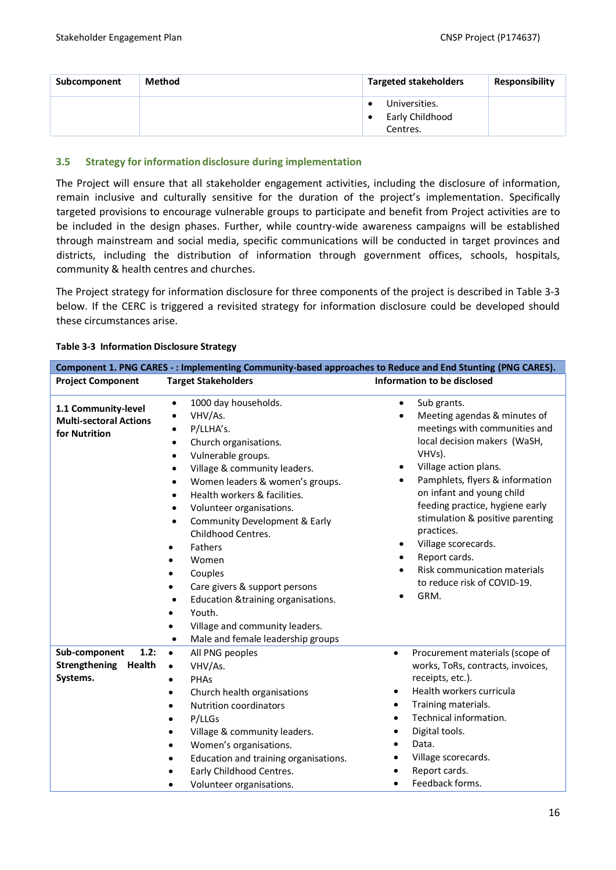| Subcomponent | Method | <b>Targeted stakeholders</b>                      | Responsibility |
|--------------|--------|---------------------------------------------------|----------------|
|              |        | Universities.<br>٠<br>Early Childhood<br>Centres. |                |

#### <span id="page-15-0"></span>**3.5 Strategy for information disclosure during implementation**

The Project will ensure that all stakeholder engagement activities, including the disclosure of information, remain inclusive and culturally sensitive for the duration of the project's implementation. Specifically targeted provisions to encourage vulnerable groups to participate and benefit from Project activities are to be included in the design phases. Further, while country-wide awareness campaigns will be established through mainstream and social media, specific communications will be conducted in target provinces and districts, including the distribution of information through government offices, schools, hospitals, community & health centres and churches.

The Project strategy for information disclosure for three components of the project is described in [Table 3-3](#page-15-1) below. If the CERC is triggered a revisited strategy for information disclosure could be developed should these circumstances arise.

| <b>Target Stakeholders</b><br>1000 day households.<br>$\bullet$                                                                                                                                                                                                                                                                                                                                                                                                                                                                                                                         | Information to be disclosed                                                                                                                                                                                                                                                                                                                                                                                                                                                                       |
|-----------------------------------------------------------------------------------------------------------------------------------------------------------------------------------------------------------------------------------------------------------------------------------------------------------------------------------------------------------------------------------------------------------------------------------------------------------------------------------------------------------------------------------------------------------------------------------------|---------------------------------------------------------------------------------------------------------------------------------------------------------------------------------------------------------------------------------------------------------------------------------------------------------------------------------------------------------------------------------------------------------------------------------------------------------------------------------------------------|
|                                                                                                                                                                                                                                                                                                                                                                                                                                                                                                                                                                                         |                                                                                                                                                                                                                                                                                                                                                                                                                                                                                                   |
| VHV/As.<br>$\bullet$<br>P/LLHA's.<br>$\bullet$<br>Church organisations.<br>$\bullet$<br>Vulnerable groups.<br>$\bullet$<br>Village & community leaders.<br>$\bullet$<br>Women leaders & women's groups.<br>$\bullet$<br>Health workers & facilities.<br>$\bullet$<br>Volunteer organisations.<br>$\bullet$<br>Community Development & Early<br>$\bullet$<br>Childhood Centres.<br>Fathers<br>٠<br>Women<br>$\bullet$<br>Couples<br>Care givers & support persons<br>Education & training organisations.<br>$\bullet$<br>Youth.<br>٠<br>Village and community leaders.<br>٠<br>$\bullet$ | Sub grants.<br>$\bullet$<br>Meeting agendas & minutes of<br>$\bullet$<br>meetings with communities and<br>local decision makers (WaSH,<br>VHVs).<br>Village action plans.<br>Pamphlets, flyers & information<br>$\bullet$<br>on infant and young child<br>feeding practice, hygiene early<br>stimulation & positive parenting<br>practices.<br>Village scorecards.<br>$\bullet$<br>Report cards.<br>$\bullet$<br>Risk communication materials<br>$\bullet$<br>to reduce risk of COVID-19.<br>GRM. |
| $\bullet$<br>All PNG peoples<br>VHV/As.<br>$\bullet$<br>PHAS<br>$\bullet$<br>Church health organisations<br>$\bullet$<br><b>Nutrition coordinators</b><br>P/LLGs<br>٠<br>Village & community leaders.<br>Women's organisations.<br>Education and training organisations.<br>٠<br>Early Childhood Centres.                                                                                                                                                                                                                                                                               | Procurement materials (scope of<br>$\bullet$<br>works, ToRs, contracts, invoices,<br>receipts, etc.).<br>Health workers curricula<br>$\bullet$<br>Training materials.<br>$\bullet$<br>Technical information.<br>$\bullet$<br>Digital tools.<br>٠<br>Data.<br>Village scorecards.<br>Report cards.<br>Feedback forms.<br>$\bullet$                                                                                                                                                                 |
|                                                                                                                                                                                                                                                                                                                                                                                                                                                                                                                                                                                         | Male and female leadership groups<br>Volunteer organisations.                                                                                                                                                                                                                                                                                                                                                                                                                                     |

#### <span id="page-15-1"></span>**Table 3-3 Information Disclosure Strategy**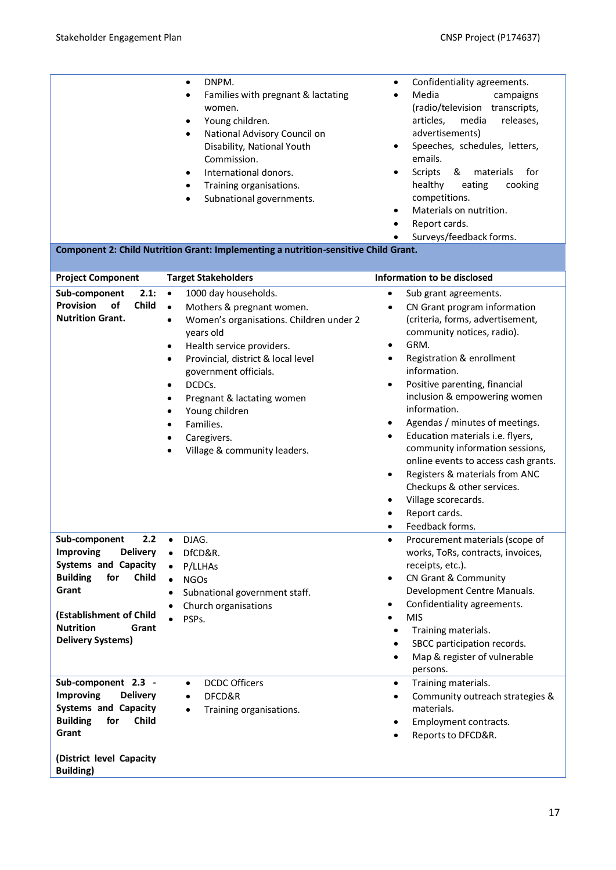|                                                                                                                                                                                                                                      | DNPM.<br>$\bullet$<br>Families with pregnant & lactating<br>women.<br>Young children.<br>٠<br>National Advisory Council on<br>$\bullet$<br>Disability, National Youth<br>Commission.<br>International donors.<br>$\bullet$<br>Training organisations.<br>$\bullet$<br>Subnational governments.<br>$\bullet$<br>Component 2: Child Nutrition Grant: Implementing a nutrition-sensitive Child Grant.                                                          | Confidentiality agreements.<br>Media<br>campaigns<br>(radio/television transcripts,<br>articles,<br>media<br>releases,<br>advertisements)<br>Speeches, schedules, letters,<br>٠<br>emails.<br>Scripts<br>&<br>materials<br>for<br>$\bullet$<br>cooking<br>healthy<br>eating<br>competitions.<br>Materials on nutrition.<br>$\bullet$<br>Report cards.<br>$\bullet$<br>Surveys/feedback forms.                                                                                                                                                                                                                                                                                         |
|--------------------------------------------------------------------------------------------------------------------------------------------------------------------------------------------------------------------------------------|-------------------------------------------------------------------------------------------------------------------------------------------------------------------------------------------------------------------------------------------------------------------------------------------------------------------------------------------------------------------------------------------------------------------------------------------------------------|---------------------------------------------------------------------------------------------------------------------------------------------------------------------------------------------------------------------------------------------------------------------------------------------------------------------------------------------------------------------------------------------------------------------------------------------------------------------------------------------------------------------------------------------------------------------------------------------------------------------------------------------------------------------------------------|
|                                                                                                                                                                                                                                      |                                                                                                                                                                                                                                                                                                                                                                                                                                                             |                                                                                                                                                                                                                                                                                                                                                                                                                                                                                                                                                                                                                                                                                       |
| <b>Project Component</b><br>2.1:<br>Sub-component<br>Provision<br>of<br>Child<br><b>Nutrition Grant.</b>                                                                                                                             | <b>Target Stakeholders</b><br>$\bullet$<br>1000 day households.<br>Mothers & pregnant women.<br>$\bullet$<br>Women's organisations. Children under 2<br>$\bullet$<br>years old<br>Health service providers.<br>٠<br>Provincial, district & local level<br>$\bullet$<br>government officials.<br>DCDCs.<br>٠<br>Pregnant & lactating women<br>$\bullet$<br>Young children<br>٠<br>Families.<br>$\bullet$<br>Caregivers.<br>٠<br>Village & community leaders. | Information to be disclosed<br>Sub grant agreements.<br>$\bullet$<br>CN Grant program information<br>$\bullet$<br>(criteria, forms, advertisement,<br>community notices, radio).<br>GRM.<br>$\bullet$<br>Registration & enrollment<br>information.<br>Positive parenting, financial<br>$\bullet$<br>inclusion & empowering women<br>information.<br>Agendas / minutes of meetings.<br>$\bullet$<br>Education materials i.e. flyers,<br>$\bullet$<br>community information sessions,<br>online events to access cash grants.<br>Registers & materials from ANC<br>٠<br>Checkups & other services.<br>Village scorecards.<br>$\bullet$<br>Report cards.<br>Feedback forms.<br>$\bullet$ |
| $2.2^{\circ}$<br>Sub-component<br><b>Improving</b><br><b>Delivery</b><br><b>Systems and Capacity</b><br><b>Building</b><br>for<br>Child<br>Grant<br>(Establishment of Child<br><b>Nutrition</b><br>Grant<br><b>Delivery Systems)</b> | DJAG.<br>DfCD&R.<br>$\bullet$<br>P/LLHAs<br><b>NGOs</b><br>$\bullet$<br>Subnational government staff.<br>$\bullet$<br>Church organisations<br>PSPs.                                                                                                                                                                                                                                                                                                         | Procurement materials (scope of<br>works, ToRs, contracts, invoices,<br>receipts, etc.).<br>CN Grant & Community<br>$\bullet$<br>Development Centre Manuals.<br>Confidentiality agreements.<br>٠<br><b>MIS</b><br>Training materials.<br>٠<br>SBCC participation records.<br>٠<br>Map & register of vulnerable<br>٠<br>persons.                                                                                                                                                                                                                                                                                                                                                       |
| Sub-component 2.3 -<br><b>Improving</b><br><b>Delivery</b><br><b>Systems and Capacity</b><br><b>Building</b><br>Child<br>for<br>Grant<br>(District level Capacity<br><b>Building</b> )                                               | <b>DCDC Officers</b><br>$\bullet$<br>DFCD&R<br>$\bullet$<br>Training organisations.<br>$\bullet$                                                                                                                                                                                                                                                                                                                                                            | Training materials.<br>$\bullet$<br>Community outreach strategies &<br>$\bullet$<br>materials.<br>Employment contracts.<br>٠<br>Reports to DFCD&R.<br>$\bullet$                                                                                                                                                                                                                                                                                                                                                                                                                                                                                                                       |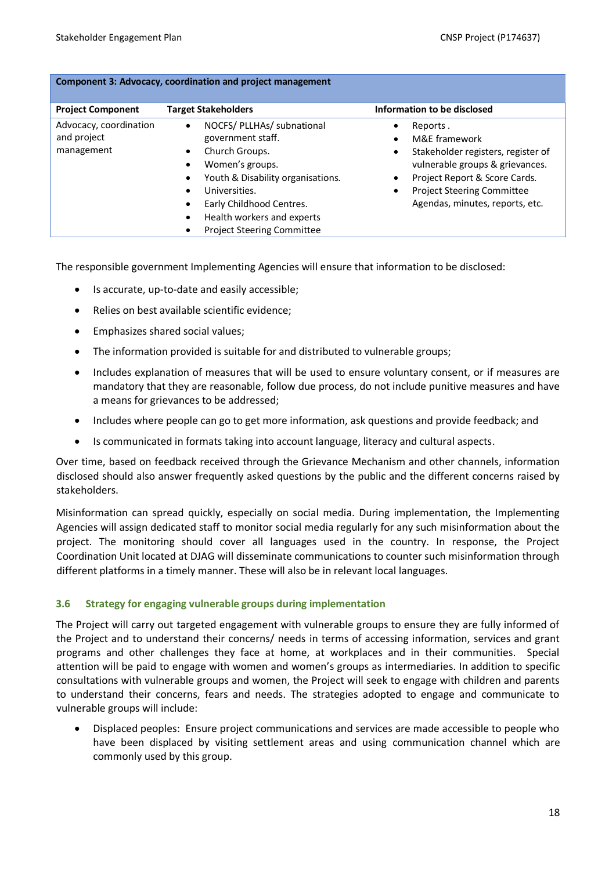| Component 3: Advocacy, coordination and project management |                                                                                                                                                                                                                                                                                                            |                                                                                                                                                                                                             |  |
|------------------------------------------------------------|------------------------------------------------------------------------------------------------------------------------------------------------------------------------------------------------------------------------------------------------------------------------------------------------------------|-------------------------------------------------------------------------------------------------------------------------------------------------------------------------------------------------------------|--|
| <b>Project Component</b>                                   | <b>Target Stakeholders</b>                                                                                                                                                                                                                                                                                 | Information to be disclosed                                                                                                                                                                                 |  |
| Advocacy, coordination<br>and project<br>management        | NOCFS/ PLLHAs/ subnational<br>$\bullet$<br>government staff.<br>Church Groups.<br>$\bullet$<br>Women's groups.<br>$\bullet$<br>Youth & Disability organisations.<br>Universities.<br>Early Childhood Centres.<br>$\bullet$<br>Health workers and experts<br>$\bullet$<br><b>Project Steering Committee</b> | Reports.<br>M&E framework<br>Stakeholder registers, register of<br>vulnerable groups & grievances.<br>Project Report & Score Cards.<br><b>Project Steering Committee</b><br>Agendas, minutes, reports, etc. |  |

The responsible government Implementing Agencies will ensure that information to be disclosed:

- Is accurate, up-to-date and easily accessible;
- Relies on best available scientific evidence;
- Emphasizes shared social values;
- The information provided is suitable for and distributed to vulnerable groups;
- Includes explanation of measures that will be used to ensure voluntary consent, or if measures are mandatory that they are reasonable, follow due process, do not include punitive measures and have a means for grievances to be addressed;
- Includes where people can go to get more information, ask questions and provide feedback; and
- Is communicated in formats taking into account language, literacy and cultural aspects.

Over time, based on feedback received through the Grievance Mechanism and other channels, information disclosed should also answer frequently asked questions by the public and the different concerns raised by stakeholders.

Misinformation can spread quickly, especially on social media. During implementation, the Implementing Agencies will assign dedicated staff to monitor social media regularly for any such misinformation about the project. The monitoring should cover all languages used in the country. In response, the Project Coordination Unit located at DJAG will disseminate communications to counter such misinformation through different platforms in a timely manner. These will also be in relevant local languages.

# <span id="page-17-0"></span>**3.6 Strategy for engaging vulnerable groups during implementation**

The Project will carry out targeted engagement with vulnerable groups to ensure they are fully informed of the Project and to understand their concerns/ needs in terms of accessing information, services and grant programs and other challenges they face at home, at workplaces and in their communities. Special attention will be paid to engage with women and women's groups as intermediaries. In addition to specific consultations with vulnerable groups and women, the Project will seek to engage with children and parents to understand their concerns, fears and needs. The strategies adopted to engage and communicate to vulnerable groups will include:

• Displaced peoples: Ensure project communications and services are made accessible to people who have been displaced by visiting settlement areas and using communication channel which are commonly used by this group.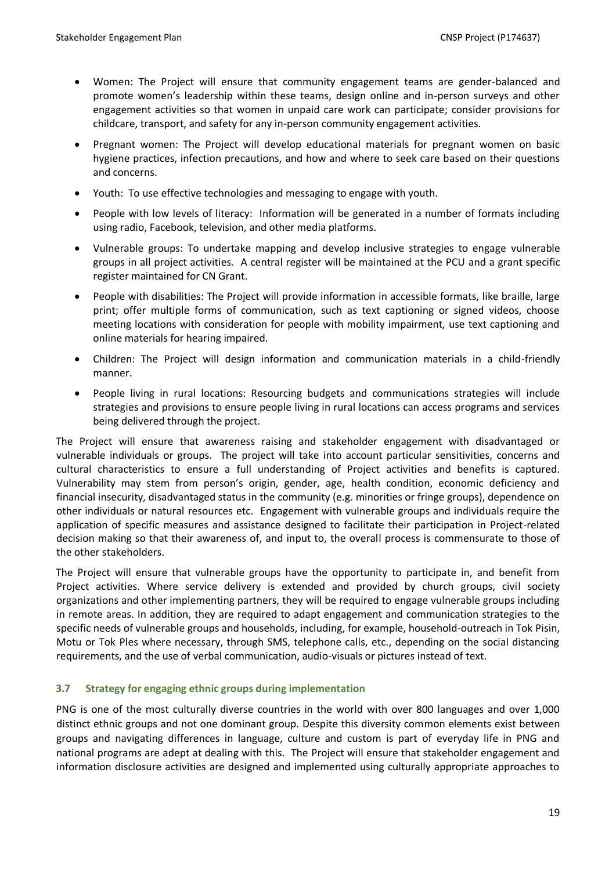- Women: The Project will ensure that community engagement teams are gender-balanced and promote women's leadership within these teams, design online and in-person surveys and other engagement activities so that women in unpaid care work can participate; consider provisions for childcare, transport, and safety for any in-person community engagement activities.
- Pregnant women: The Project will develop educational materials for pregnant women on basic hygiene practices, infection precautions, and how and where to seek care based on their questions and concerns.
- Youth: To use effective technologies and messaging to engage with youth.
- People with low levels of literacy: Information will be generated in a number of formats including using radio, Facebook, television, and other media platforms.
- Vulnerable groups: To undertake mapping and develop inclusive strategies to engage vulnerable groups in all project activities. A central register will be maintained at the PCU and a grant specific register maintained for CN Grant.
- People with disabilities: The Project will provide information in accessible formats, like braille, large print; offer multiple forms of communication, such as text captioning or signed videos, choose meeting locations with consideration for people with mobility impairment, use text captioning and online materials for hearing impaired.
- Children: The Project will design information and communication materials in a child-friendly manner.
- People living in rural locations: Resourcing budgets and communications strategies will include strategies and provisions to ensure people living in rural locations can access programs and services being delivered through the project.

The Project will ensure that awareness raising and stakeholder engagement with disadvantaged or vulnerable individuals or groups. The project will take into account particular sensitivities, concerns and cultural characteristics to ensure a full understanding of Project activities and benefits is captured. Vulnerability may stem from person's origin, gender, age, health condition, economic deficiency and financial insecurity, disadvantaged status in the community (e.g. minorities or fringe groups), dependence on other individuals or natural resources etc. Engagement with vulnerable groups and individuals require the application of specific measures and assistance designed to facilitate their participation in Project-related decision making so that their awareness of, and input to, the overall process is commensurate to those of the other stakeholders.

The Project will ensure that vulnerable groups have the opportunity to participate in, and benefit from Project activities. Where service delivery is extended and provided by church groups, civil society organizations and other implementing partners, they will be required to engage vulnerable groups including in remote areas. In addition, they are required to adapt engagement and communication strategies to the specific needs of vulnerable groups and households, including, for example, household-outreach in Tok Pisin, Motu or Tok Ples where necessary, through SMS, telephone calls, etc., depending on the social distancing requirements, and the use of verbal communication, audio-visuals or pictures instead of text.

# <span id="page-18-0"></span>**3.7 Strategy for engaging ethnic groups during implementation**

PNG is one of the most culturally diverse countries in the world with over 800 languages and over 1,000 distinct ethnic groups and not one dominant group. Despite this diversity common elements exist between groups and navigating differences in language, culture and custom is part of everyday life in PNG and national programs are adept at dealing with this. The Project will ensure that stakeholder engagement and information disclosure activities are designed and implemented using culturally appropriate approaches to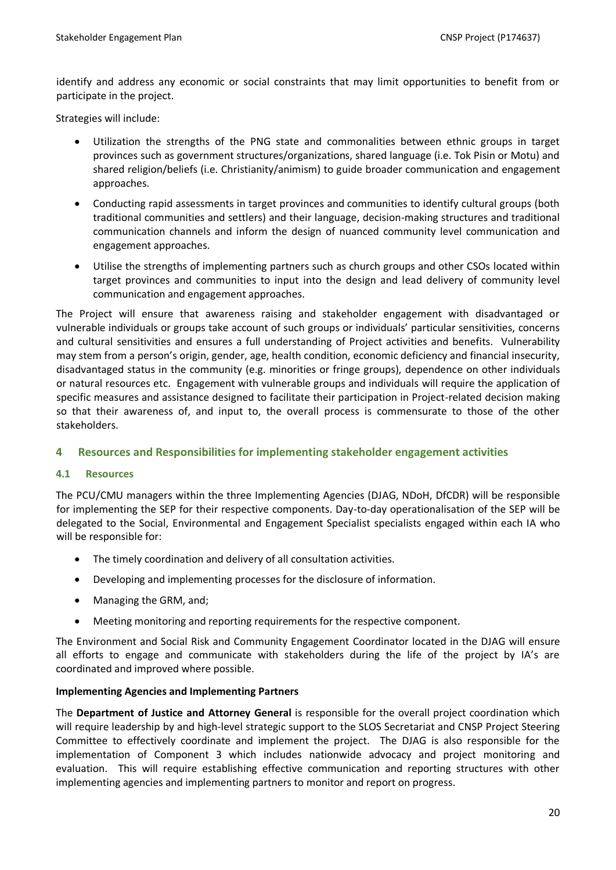identify and address any economic or social constraints that may limit opportunities to benefit from or participate in the project.

Strategies will include:

- Utilization the strengths of the PNG state and commonalities between ethnic groups in target provinces such as government structures/organizations, shared language (i.e. Tok Pisin or Motu) and shared religion/beliefs (i.e. Christianity/animism) to guide broader communication and engagement approaches.
- Conducting rapid assessments in target provinces and communities to identify cultural groups (both traditional communities and settlers) and their language, decision-making structures and traditional communication channels and inform the design of nuanced community level communication and engagement approaches.
- Utilise the strengths of implementing partners such as church groups and other CSOs located within target provinces and communities to input into the design and lead delivery of community level communication and engagement approaches.

The Project will ensure that awareness raising and stakeholder engagement with disadvantaged or vulnerable individuals or groups take account of such groups or individuals' particular sensitivities, concerns and cultural sensitivities and ensures a full understanding of Project activities and benefits. Vulnerability may stem from a person's origin, gender, age, health condition, economic deficiency and financial insecurity, disadvantaged status in the community (e.g. minorities or fringe groups), dependence on other individuals or natural resources etc. Engagement with vulnerable groups and individuals will require the application of specific measures and assistance designed to facilitate their participation in Project-related decision making so that their awareness of, and input to, the overall process is commensurate to those of the other stakeholders.

# <span id="page-19-0"></span>**4 Resources and Responsibilities for implementing stakeholder engagement activities**

#### <span id="page-19-1"></span>**4.1 Resources**

The PCU/CMU managers within the three Implementing Agencies (DJAG, NDoH, DfCDR) will be responsible for implementing the SEP for their respective components. Day-to-day operationalisation of the SEP will be delegated to the Social, Environmental and Engagement Specialist specialists engaged within each IA who will be responsible for:

- The timely coordination and delivery of all consultation activities.
- Developing and implementing processes for the disclosure of information.
- Managing the GRM, and;
- Meeting monitoring and reporting requirements for the respective component.

The Environment and Social Risk and Community Engagement Coordinator located in the DJAG will ensure all efforts to engage and communicate with stakeholders during the life of the project by IA's are coordinated and improved where possible.

#### **Implementing Agencies and Implementing Partners**

The **Department of Justice and Attorney General** is responsible for the overall project coordination which will require leadership by and high-level strategic support to the SLOS Secretariat and CNSP Project Steering Committee to effectively coordinate and implement the project. The DJAG is also responsible for the implementation of Component 3 which includes nationwide advocacy and project monitoring and evaluation. This will require establishing effective communication and reporting structures with other implementing agencies and implementing partners to monitor and report on progress.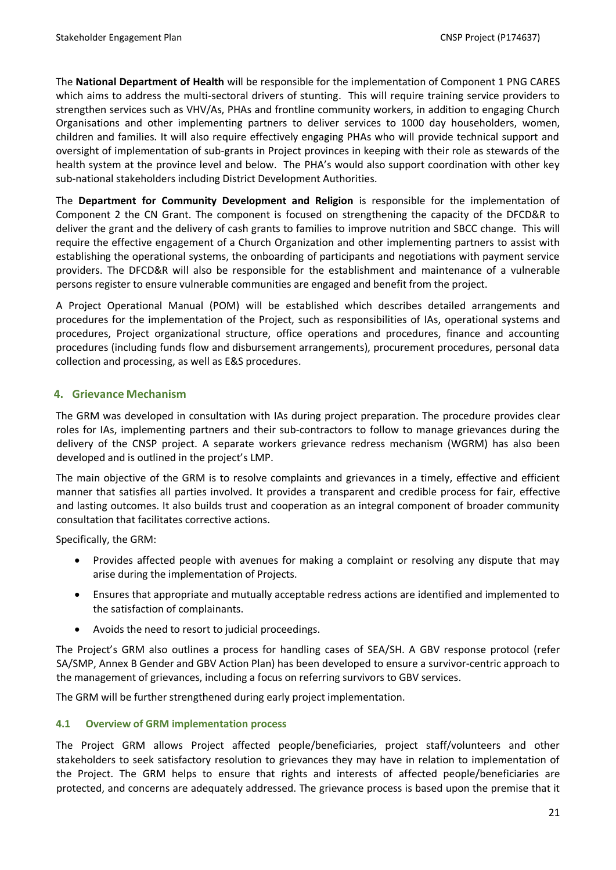The **National Department of Health** will be responsible for the implementation of Component 1 PNG CARES which aims to address the multi-sectoral drivers of stunting. This will require training service providers to strengthen services such as VHV/As, PHAs and frontline community workers, in addition to engaging Church Organisations and other implementing partners to deliver services to 1000 day householders, women, children and families. It will also require effectively engaging PHAs who will provide technical support and oversight of implementation of sub-grants in Project provinces in keeping with their role as stewards of the health system at the province level and below. The PHA's would also support coordination with other key sub-national stakeholders including District Development Authorities.

The **Department for Community Development and Religion** is responsible for the implementation of Component 2 the CN Grant. The component is focused on strengthening the capacity of the DFCD&R to deliver the grant and the delivery of cash grants to families to improve nutrition and SBCC change. This will require the effective engagement of a Church Organization and other implementing partners to assist with establishing the operational systems, the onboarding of participants and negotiations with payment service providers. The DFCD&R will also be responsible for the establishment and maintenance of a vulnerable persons register to ensure vulnerable communities are engaged and benefit from the project.

A Project Operational Manual (POM) will be established which describes detailed arrangements and procedures for the implementation of the Project, such as responsibilities of IAs, operational systems and procedures, Project organizational structure, office operations and procedures, finance and accounting procedures (including funds flow and disbursement arrangements), procurement procedures, personal data collection and processing, as well as E&S procedures.

# <span id="page-20-0"></span>**4. Grievance Mechanism**

The GRM was developed in consultation with IAs during project preparation. The procedure provides clear roles for IAs, implementing partners and their sub-contractors to follow to manage grievances during the delivery of the CNSP project. A separate workers grievance redress mechanism (WGRM) has also been developed and is outlined in the project's LMP.

The main objective of the GRM is to resolve complaints and grievances in a timely, effective and efficient manner that satisfies all parties involved. It provides a transparent and credible process for fair, effective and lasting outcomes. It also builds trust and cooperation as an integral component of broader community consultation that facilitates corrective actions.

Specifically, the GRM:

- Provides affected people with avenues for making a complaint or resolving any dispute that may arise during the implementation of Projects.
- Ensures that appropriate and mutually acceptable redress actions are identified and implemented to the satisfaction of complainants.
- Avoids the need to resort to judicial proceedings.

The Project's GRM also outlines a process for handling cases of SEA/SH. A GBV response protocol (refer SA/SMP, Annex B Gender and GBV Action Plan) has been developed to ensure a survivor-centric approach to the management of grievances, including a focus on referring survivors to GBV services.

The GRM will be further strengthened during early project implementation.

# <span id="page-20-1"></span>**4.1 Overview of GRM implementation process**

The Project GRM allows Project affected people/beneficiaries, project staff/volunteers and other stakeholders to seek satisfactory resolution to grievances they may have in relation to implementation of the Project. The GRM helps to ensure that rights and interests of affected people/beneficiaries are protected, and concerns are adequately addressed. The grievance process is based upon the premise that it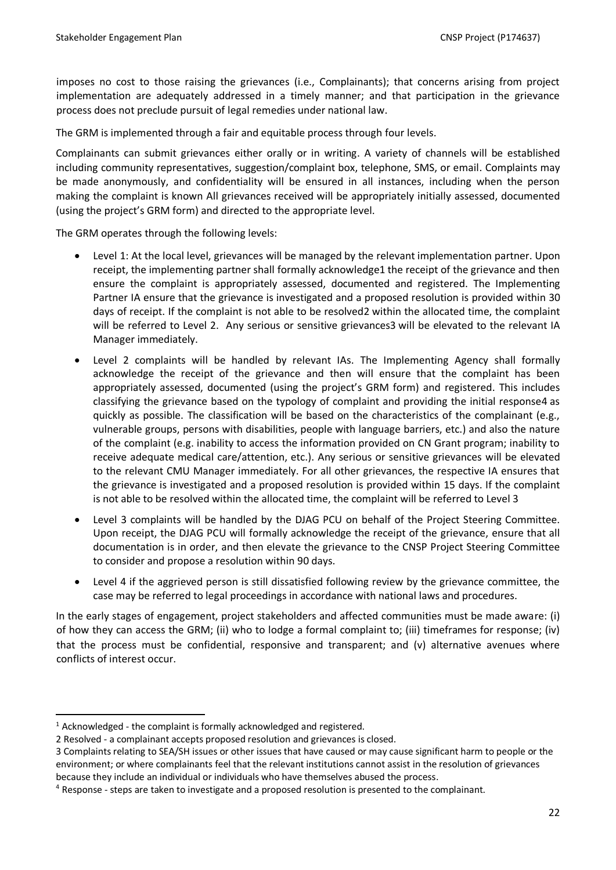imposes no cost to those raising the grievances (i.e., Complainants); that concerns arising from project implementation are adequately addressed in a timely manner; and that participation in the grievance process does not preclude pursuit of legal remedies under national law.

The GRM is implemented through a fair and equitable process through four levels.

Complainants can submit grievances either orally or in writing. A variety of channels will be established including community representatives, suggestion/complaint box, telephone, SMS, or email. Complaints may be made anonymously, and confidentiality will be ensured in all instances, including when the person making the complaint is known All grievances received will be appropriately initially assessed, documented (using the project's GRM form) and directed to the appropriate level.

The GRM operates through the following levels:

- Level 1: At the local level, grievances will be managed by the relevant implementation partner. Upon receipt, the implementing partner shall formally acknowledge1 the receipt of the grievance and then ensure the complaint is appropriately assessed, documented and registered. The Implementing Partner IA ensure that the grievance is investigated and a proposed resolution is provided within 30 days of receipt. If the complaint is not able to be resolved2 within the allocated time, the complaint will be referred to Level 2. Any serious or sensitive grievances3 will be elevated to the relevant IA Manager immediately.
- Level 2 complaints will be handled by relevant IAs. The Implementing Agency shall formally acknowledge the receipt of the grievance and then will ensure that the complaint has been appropriately assessed, documented (using the project's GRM form) and registered. This includes classifying the grievance based on the typology of complaint and providing the initial response4 as quickly as possible. The classification will be based on the characteristics of the complainant (e.g., vulnerable groups, persons with disabilities, people with language barriers, etc.) and also the nature of the complaint (e.g. inability to access the information provided on CN Grant program; inability to receive adequate medical care/attention, etc.). Any serious or sensitive grievances will be elevated to the relevant CMU Manager immediately. For all other grievances, the respective IA ensures that the grievance is investigated and a proposed resolution is provided within 15 days. If the complaint is not able to be resolved within the allocated time, the complaint will be referred to Level 3
- Level 3 complaints will be handled by the DJAG PCU on behalf of the Project Steering Committee. Upon receipt, the DJAG PCU will formally acknowledge the receipt of the grievance, ensure that all documentation is in order, and then elevate the grievance to the CNSP Project Steering Committee to consider and propose a resolution within 90 days.
- Level 4 if the aggrieved person is still dissatisfied following review by the grievance committee, the case may be referred to legal proceedings in accordance with national laws and procedures.

In the early stages of engagement, project stakeholders and affected communities must be made aware: (i) of how they can access the GRM; (ii) who to lodge a formal complaint to; (iii) timeframes for response; (iv) that the process must be confidential, responsive and transparent; and (v) alternative avenues where conflicts of interest occur.

 $1$  Acknowledged - the complaint is formally acknowledged and registered.

<sup>2</sup> Resolved - a complainant accepts proposed resolution and grievances is closed.

<sup>3</sup> Complaints relating to SEA/SH issues or other issues that have caused or may cause significant harm to people or the environment; or where complainants feel that the relevant institutions cannot assist in the resolution of grievances because they include an individual or individuals who have themselves abused the process.

<sup>4</sup> Response - steps are taken to investigate and a proposed resolution is presented to the complainant.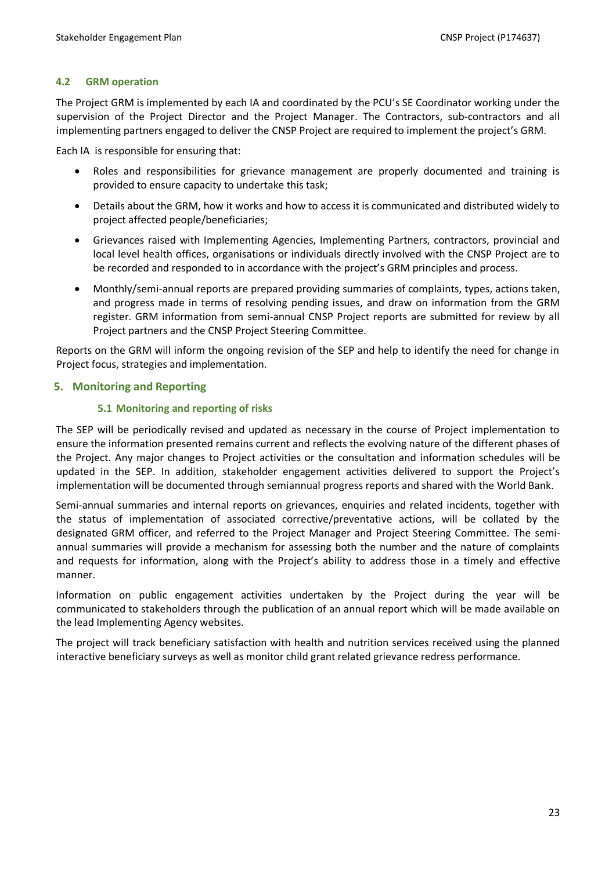### <span id="page-22-0"></span>**4.2 GRM operation**

The Project GRM is implemented by each IA and coordinated by the PCU's SE Coordinator working under the supervision of the Project Director and the Project Manager. The Contractors, sub-contractors and all implementing partners engaged to deliver the CNSP Project are required to implement the project's GRM.

Each IA is responsible for ensuring that:

- Roles and responsibilities for grievance management are properly documented and training is provided to ensure capacity to undertake this task;
- Details about the GRM, how it works and how to access it is communicated and distributed widely to project affected people/beneficiaries;
- Grievances raised with Implementing Agencies, Implementing Partners, contractors, provincial and local level health offices, organisations or individuals directly involved with the CNSP Project are to be recorded and responded to in accordance with the project's GRM principles and process.
- Monthly/semi-annual reports are prepared providing summaries of complaints, types, actions taken, and progress made in terms of resolving pending issues, and draw on information from the GRM register. GRM information from semi-annual CNSP Project reports are submitted for review by all Project partners and the CNSP Project Steering Committee.

Reports on the GRM will inform the ongoing revision of the SEP and help to identify the need for change in Project focus, strategies and implementation.

# <span id="page-22-2"></span><span id="page-22-1"></span>**5. Monitoring and Reporting**

# **5.1 Monitoring and reporting of risks**

The SEP will be periodically revised and updated as necessary in the course of Project implementation to ensure the information presented remains current and reflects the evolving nature of the different phases of the Project. Any major changes to Project activities or the consultation and information schedules will be updated in the SEP. In addition, stakeholder engagement activities delivered to support the Project's implementation will be documented through semiannual progress reports and shared with the World Bank.

Semi-annual summaries and internal reports on grievances, enquiries and related incidents, together with the status of implementation of associated corrective/preventative actions, will be collated by the designated GRM officer, and referred to the Project Manager and Project Steering Committee. The semiannual summaries will provide a mechanism for assessing both the number and the nature of complaints and requests for information, along with the Project's ability to address those in a timely and effective manner.

Information on public engagement activities undertaken by the Project during the year will be communicated to stakeholders through the publication of an annual report which will be made available on the lead Implementing Agency websites.

The project will track beneficiary satisfaction with health and nutrition services received using the planned interactive beneficiary surveys as well as monitor child grant related grievance redress performance.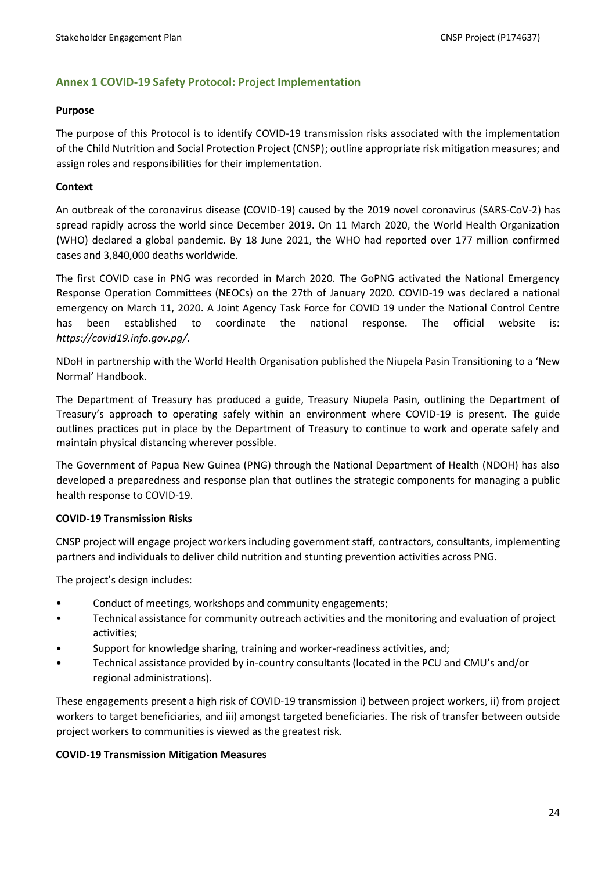# <span id="page-23-0"></span>**Annex 1 COVID-19 Safety Protocol: Project Implementation**

#### **Purpose**

The purpose of this Protocol is to identify COVID-19 transmission risks associated with the implementation of the Child Nutrition and Social Protection Project (CNSP); outline appropriate risk mitigation measures; and assign roles and responsibilities for their implementation.

#### **Context**

An outbreak of the coronavirus disease (COVID-19) caused by the 2019 novel coronavirus (SARS-CoV-2) has spread rapidly across the world since December 2019. On 11 March 2020, the World Health Organization (WHO) declared a global pandemic. By 18 June 2021, the WHO had reported over 177 million confirmed cases and 3,840,000 deaths worldwide.

The first COVID case in PNG was recorded in March 2020. The GoPNG activated the National Emergency Response Operation Committees (NEOCs) on the 27th of January 2020. COVID-19 was declared a national emergency on March 11, 2020. A Joint Agency Task Force for COVID 19 under the National Control Centre has been established to coordinate the national response. The official website is: *<https://covid19.info.gov.pg/>*.

NDoH in partnership with the World Health Organisation published the Niupela Pasin Transitioning to a 'New Normal' Handbook.

The Department of Treasury has produced a guide, Treasury Niupela Pasin, outlining the Department of Treasury's approach to operating safely within an environment where COVID-19 is present. The guide outlines practices put in place by the Department of Treasury to continue to work and operate safely and maintain physical distancing wherever possible.

The Government of Papua New Guinea (PNG) through the National Department of Health (NDOH) has also developed a preparedness and response plan that outlines the strategic components for managing a public health response to COVID-19.

#### **COVID-19 Transmission Risks**

CNSP project will engage project workers including government staff, contractors, consultants, implementing partners and individuals to deliver child nutrition and stunting prevention activities across PNG.

The project's design includes:

- Conduct of meetings, workshops and community engagements;
- Technical assistance for community outreach activities and the monitoring and evaluation of project activities;
- Support for knowledge sharing, training and worker-readiness activities, and;
- Technical assistance provided by in-country consultants (located in the PCU and CMU's and/or regional administrations).

These engagements present a high risk of COVID-19 transmission i) between project workers, ii) from project workers to target beneficiaries, and iii) amongst targeted beneficiaries. The risk of transfer between outside project workers to communities is viewed as the greatest risk.

# **COVID-19 Transmission Mitigation Measures**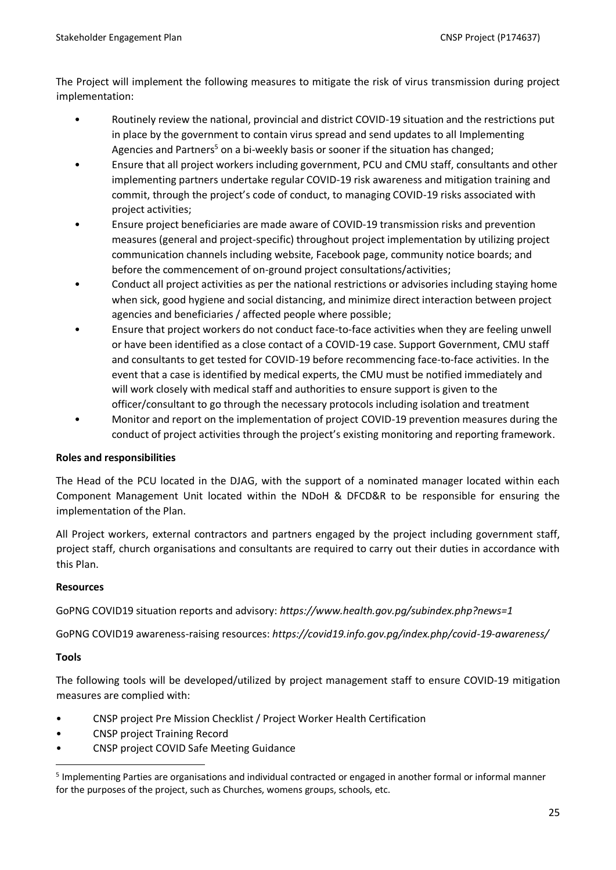The Project will implement the following measures to mitigate the risk of virus transmission during project implementation:

- Routinely review the national, provincial and district COVID-19 situation and the restrictions put in place by the government to contain virus spread and send updates to all Implementing Agencies and Partners<sup>5</sup> on a bi-weekly basis or sooner if the situation has changed;
- Ensure that all project workers including government, PCU and CMU staff, consultants and other implementing partners undertake regular COVID-19 risk awareness and mitigation training and commit, through the project's code of conduct, to managing COVID-19 risks associated with project activities;
- Ensure project beneficiaries are made aware of COVID-19 transmission risks and prevention measures (general and project-specific) throughout project implementation by utilizing project communication channels including website, Facebook page, community notice boards; and before the commencement of on-ground project consultations/activities;
- Conduct all project activities as per the national restrictions or advisories including staying home when sick, good hygiene and social distancing, and minimize direct interaction between project agencies and beneficiaries / affected people where possible;
- Ensure that project workers do not conduct face-to-face activities when they are feeling unwell or have been identified as a close contact of a COVID-19 case. Support Government, CMU staff and consultants to get tested for COVID-19 before recommencing face-to-face activities. In the event that a case is identified by medical experts, the CMU must be notified immediately and will work closely with medical staff and authorities to ensure support is given to the officer/consultant to go through the necessary protocols including isolation and treatment
- Monitor and report on the implementation of project COVID-19 prevention measures during the conduct of project activities through the project's existing monitoring and reporting framework.

# **Roles and responsibilities**

The Head of the PCU located in the DJAG, with the support of a nominated manager located within each Component Management Unit located within the NDoH & DFCD&R to be responsible for ensuring the implementation of the Plan.

All Project workers, external contractors and partners engaged by the project including government staff, project staff, church organisations and consultants are required to carry out their duties in accordance with this Plan.

#### **Resources**

GoPNG COVID19 situation reports and advisory: *<https://www.health.gov.pg/subindex.php?news=1>*

GoPNG COVID19 awareness-raising resources: *<https://covid19.info.gov.pg/index.php/covid-19-awareness/>*

#### **Tools**

The following tools will be developed/utilized by project management staff to ensure COVID-19 mitigation measures are complied with:

- CNSP project Pre Mission Checklist / Project Worker Health Certification
- CNSP project Training Record
- CNSP project COVID Safe Meeting Guidance

<sup>&</sup>lt;sup>5</sup> Implementing Parties are organisations and individual contracted or engaged in another formal or informal manner for the purposes of the project, such as Churches, womens groups, schools, etc.